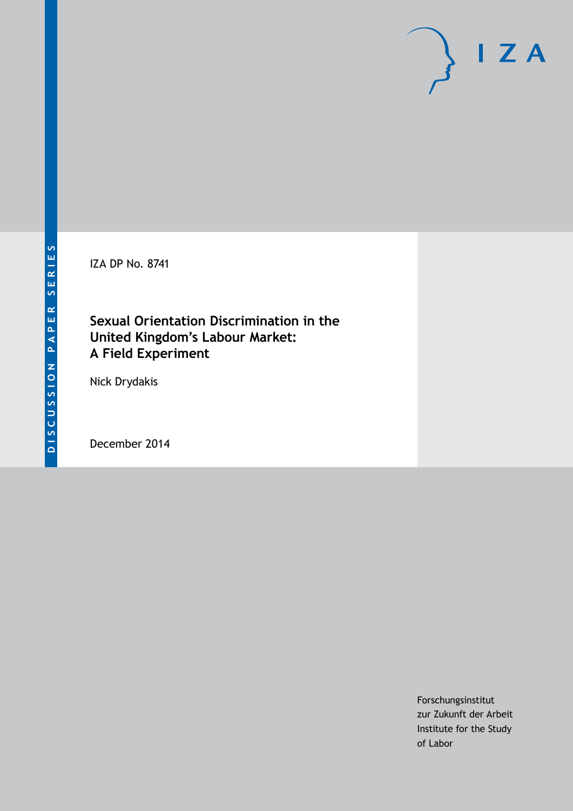IZA DP No. 8741

### **Sexual Orientation Discrimination in the United Kingdom's Labour Market: A Field Experiment**

Nick Drydakis

December 2014

Forschungsinstitut zur Zukunft der Arbeit Institute for the Study of Labor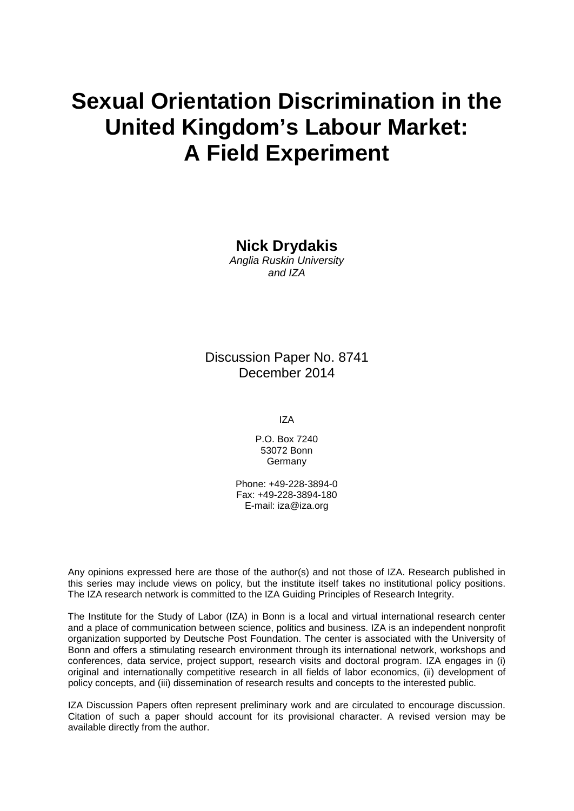# **Sexual Orientation Discrimination in the United Kingdom's Labour Market: A Field Experiment**

**Nick Drydakis**

*Anglia Ruskin University and IZA*

Discussion Paper No. 8741 December 2014

IZA

P.O. Box 7240 53072 Bonn Germany

Phone: +49-228-3894-0 Fax: +49-228-3894-180 E-mail: [iza@iza.org](mailto:iza@iza.org)

Any opinions expressed here are those of the author(s) and not those of IZA. Research published in this series may include views on policy, but the institute itself takes no institutional policy positions. The IZA research network is committed to the IZA Guiding Principles of Research Integrity.

The Institute for the Study of Labor (IZA) in Bonn is a local and virtual international research center and a place of communication between science, politics and business. IZA is an independent nonprofit organization supported by Deutsche Post Foundation. The center is associated with the University of Bonn and offers a stimulating research environment through its international network, workshops and conferences, data service, project support, research visits and doctoral program. IZA engages in (i) original and internationally competitive research in all fields of labor economics, (ii) development of policy concepts, and (iii) dissemination of research results and concepts to the interested public.

IZA Discussion Papers often represent preliminary work and are circulated to encourage discussion. Citation of such a paper should account for its provisional character. A revised version may be available directly from the author.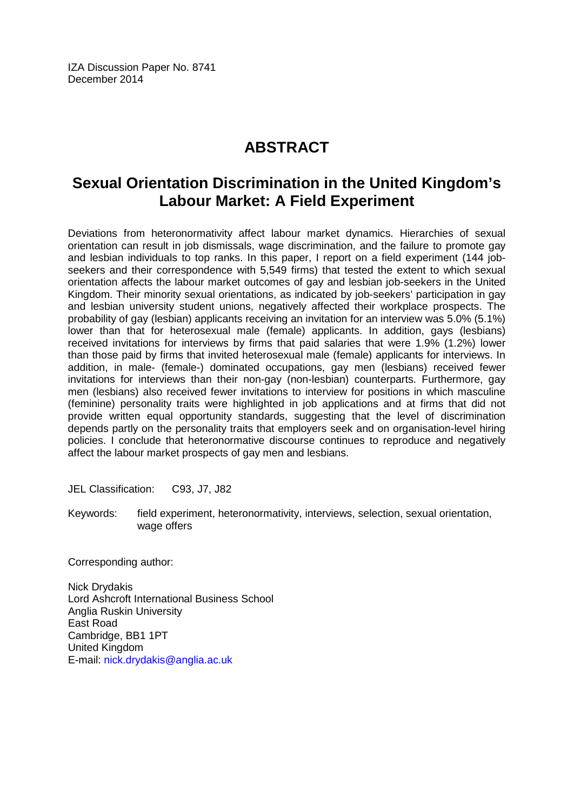IZA Discussion Paper No. 8741 December 2014

### **ABSTRACT**

## **Sexual Orientation Discrimination in the United Kingdom's Labour Market: A Field Experiment**

Deviations from heteronormativity affect labour market dynamics. Hierarchies of sexual orientation can result in job dismissals, wage discrimination, and the failure to promote gay and lesbian individuals to top ranks. In this paper, I report on a field experiment (144 jobseekers and their correspondence with 5,549 firms) that tested the extent to which sexual orientation affects the labour market outcomes of gay and lesbian job-seekers in the United Kingdom. Their minority sexual orientations, as indicated by job-seekers' participation in gay and lesbian university student unions, negatively affected their workplace prospects. The probability of gay (lesbian) applicants receiving an invitation for an interview was 5.0% (5.1%) lower than that for heterosexual male (female) applicants. In addition, gays (lesbians) received invitations for interviews by firms that paid salaries that were 1.9% (1.2%) lower than those paid by firms that invited heterosexual male (female) applicants for interviews. In addition, in male- (female-) dominated occupations, gay men (lesbians) received fewer invitations for interviews than their non-gay (non-lesbian) counterparts. Furthermore, gay men (lesbians) also received fewer invitations to interview for positions in which masculine (feminine) personality traits were highlighted in job applications and at firms that did not provide written equal opportunity standards, suggesting that the level of discrimination depends partly on the personality traits that employers seek and on organisation-level hiring policies. I conclude that heteronormative discourse continues to reproduce and negatively affect the labour market prospects of gay men and lesbians.

JEL Classification: C93, J7, J82

Keywords: field experiment, heteronormativity, interviews, selection, sexual orientation, wage offers

Corresponding author:

Nick Drydakis Lord Ashcroft International Business School Anglia Ruskin University East Road Cambridge, BB1 1PT United Kingdom E-mail: [nick.drydakis@anglia.ac.uk](mailto:nick.drydakis@anglia.ac.uk)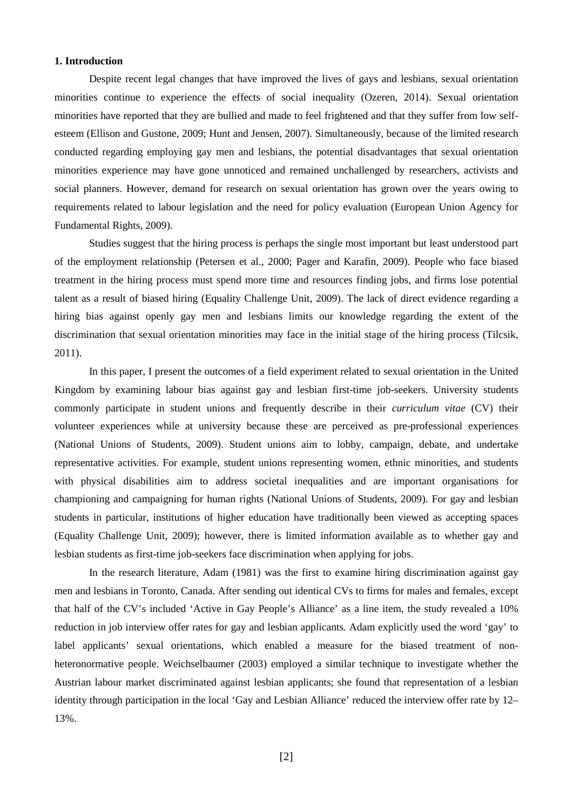#### **1. Introduction**

Despite recent legal changes that have improved the lives of gays and lesbians, sexual orientation minorities continue to experience the effects of social inequality (Ozeren, 2014). Sexual orientation minorities have reported that they are bullied and made to feel frightened and that they suffer from low selfesteem (Ellison and Gustone, 2009; Hunt and Jensen, 2007). Simultaneously, because of the limited research conducted regarding employing gay men and lesbians, the potential disadvantages that sexual orientation minorities experience may have gone unnoticed and remained unchallenged by researchers, activists and social planners. However, demand for research on sexual orientation has grown over the years owing to requirements related to labour legislation and the need for policy evaluation (European Union Agency for Fundamental Rights, 2009).

Studies suggest that the hiring process is perhaps the single most important but least understood part of the employment relationship (Petersen et al., 2000; Pager and Karafin, 2009). People who face biased treatment in the hiring process must spend more time and resources finding jobs, and firms lose potential talent as a result of biased hiring (Equality Challenge Unit, 2009). The lack of direct evidence regarding a hiring bias against openly gay men and lesbians limits our knowledge regarding the extent of the discrimination that sexual orientation minorities may face in the initial stage of the hiring process (Tilcsik, 2011).

In this paper, I present the outcomes of a field experiment related to sexual orientation in the United Kingdom by examining labour bias against gay and lesbian first-time job-seekers. University students commonly participate in student unions and frequently describe in their *curriculum vitae* (CV) their volunteer experiences while at university because these are perceived as pre-professional experiences (National Unions of Students, 2009). Student unions aim to lobby, campaign, debate, and undertake representative activities. For example, student unions representing women, ethnic minorities, and students with physical disabilities aim to address societal inequalities and are important organisations for championing and campaigning for human rights (National Unions of Students, 2009). For gay and lesbian students in particular, institutions of higher education have traditionally been viewed as accepting spaces (Equality Challenge Unit, 2009); however, there is limited information available as to whether gay and lesbian students as first-time job-seekers face discrimination when applying for jobs.

In the research literature, Adam (1981) was the first to examine hiring discrimination against gay men and lesbians in Toronto, Canada. After sending out identical CVs to firms for males and females, except that half of the CV's included 'Active in Gay People's Alliance' as a line item, the study revealed a 10% reduction in job interview offer rates for gay and lesbian applicants. Adam explicitly used the word 'gay' to label applicants' sexual orientations, which enabled a measure for the biased treatment of nonheteronormative people. Weichselbaumer (2003) employed a similar technique to investigate whether the Austrian labour market discriminated against lesbian applicants; she found that representation of a lesbian identity through participation in the local 'Gay and Lesbian Alliance' reduced the interview offer rate by 12– 13%.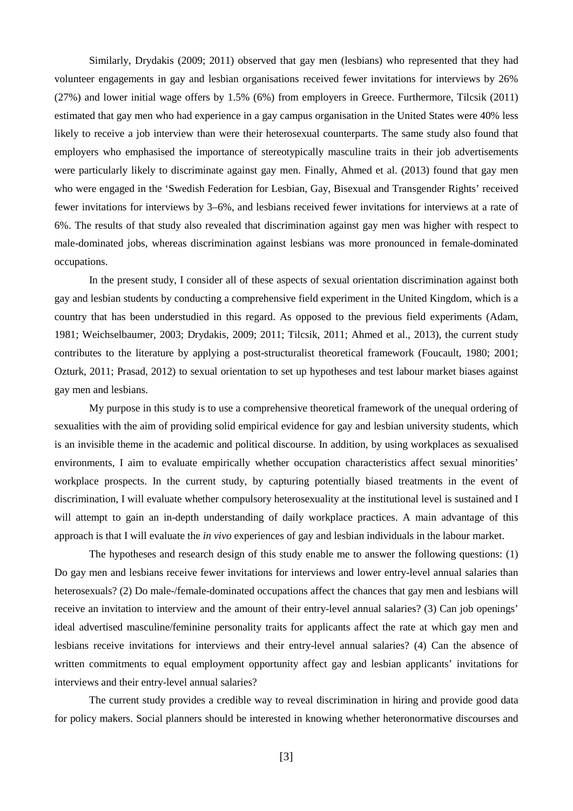Similarly, Drydakis (2009; 2011) observed that gay men (lesbians) who represented that they had volunteer engagements in gay and lesbian organisations received fewer invitations for interviews by 26% (27%) and lower initial wage offers by 1.5% (6%) from employers in Greece. Furthermore, Tilcsik (2011) estimated that gay men who had experience in a gay campus organisation in the United States were 40% less likely to receive a job interview than were their heterosexual counterparts. The same study also found that employers who emphasised the importance of stereotypically masculine traits in their job advertisements were particularly likely to discriminate against gay men. Finally, Ahmed et al. (2013) found that gay men who were engaged in the 'Swedish Federation for Lesbian, Gay, Bisexual and Transgender Rights' received fewer invitations for interviews by 3–6%, and lesbians received fewer invitations for interviews at a rate of 6%. The results of that study also revealed that discrimination against gay men was higher with respect to male-dominated jobs, whereas discrimination against lesbians was more pronounced in female-dominated occupations.

In the present study, I consider all of these aspects of sexual orientation discrimination against both gay and lesbian students by conducting a comprehensive field experiment in the United Kingdom, which is a country that has been understudied in this regard. As opposed to the previous field experiments (Adam, 1981; Weichselbaumer, 2003; Drydakis, 2009; 2011; Tilcsik, 2011; Ahmed et al., 2013), the current study contributes to the literature by applying a post-structuralist theoretical framework (Foucault, 1980; 2001; Ozturk, 2011; Prasad, 2012) to sexual orientation to set up hypotheses and test labour market biases against gay men and lesbians.

My purpose in this study is to use a comprehensive theoretical framework of the unequal ordering of sexualities with the aim of providing solid empirical evidence for gay and lesbian university students, which is an invisible theme in the academic and political discourse. In addition, by using workplaces as sexualised environments, I aim to evaluate empirically whether occupation characteristics affect sexual minorities' workplace prospects. In the current study, by capturing potentially biased treatments in the event of discrimination, I will evaluate whether compulsory heterosexuality at the institutional level is sustained and I will attempt to gain an in-depth understanding of daily workplace practices. A main advantage of this approach is that I will evaluate the *in vivo* experiences of gay and lesbian individuals in the labour market.

The hypotheses and research design of this study enable me to answer the following questions: (1) Do gay men and lesbians receive fewer invitations for interviews and lower entry-level annual salaries than heterosexuals? (2) Do male-/female-dominated occupations affect the chances that gay men and lesbians will receive an invitation to interview and the amount of their entry-level annual salaries? (3) Can job openings' ideal advertised masculine/feminine personality traits for applicants affect the rate at which gay men and lesbians receive invitations for interviews and their entry-level annual salaries? (4) Can the absence of written commitments to equal employment opportunity affect gay and lesbian applicants' invitations for interviews and their entry-level annual salaries?

The current study provides a credible way to reveal discrimination in hiring and provide good data for policy makers. Social planners should be interested in knowing whether heteronormative discourses and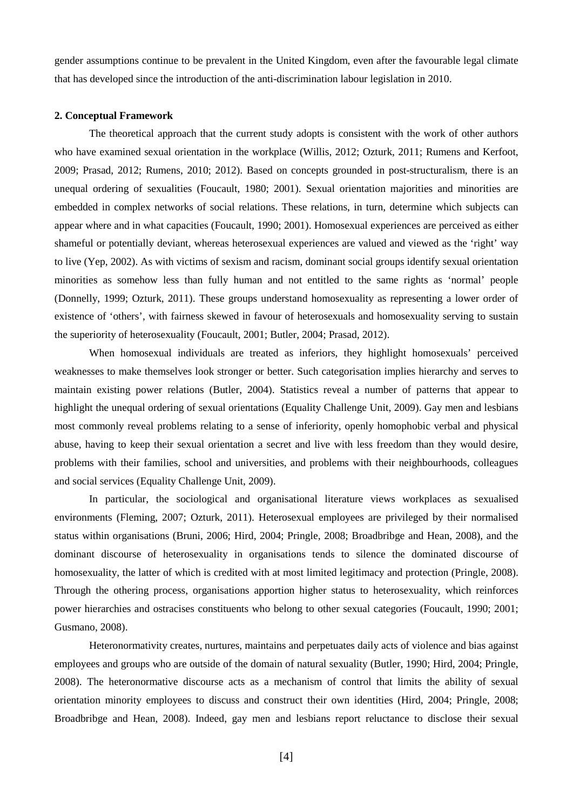gender assumptions continue to be prevalent in the United Kingdom, even after the favourable legal climate that has developed since the introduction of the anti-discrimination labour legislation in 2010.

#### **2. Conceptual Framework**

The theoretical approach that the current study adopts is consistent with the work of other authors who have examined sexual orientation in the workplace (Willis, 2012; Ozturk, 2011; Rumens and Kerfoot, 2009; Prasad, 2012; Rumens, 2010; 2012). Based on concepts grounded in post-structuralism, there is an unequal ordering of sexualities (Foucault, 1980; 2001). Sexual orientation majorities and minorities are embedded in complex networks of social relations. These relations, in turn, determine which subjects can appear where and in what capacities (Foucault, 1990; 2001). Homosexual experiences are perceived as either shameful or potentially deviant, whereas heterosexual experiences are valued and viewed as the 'right' way to live (Yep, 2002). As with victims of sexism and racism, dominant social groups identify sexual orientation minorities as somehow less than fully human and not entitled to the same rights as 'normal' people (Donnelly, 1999; Ozturk, 2011). These groups understand homosexuality as representing a lower order of existence of 'others', with fairness skewed in favour of heterosexuals and homosexuality serving to sustain the superiority of heterosexuality (Foucault, 2001; Butler, 2004; Prasad, 2012).

When homosexual individuals are treated as inferiors, they highlight homosexuals' perceived weaknesses to make themselves look stronger or better. Such categorisation implies hierarchy and serves to maintain existing power relations (Butler, 2004). Statistics reveal a number of patterns that appear to highlight the unequal ordering of sexual orientations (Equality Challenge Unit, 2009). Gay men and lesbians most commonly reveal problems relating to a sense of inferiority, openly homophobic verbal and physical abuse, having to keep their sexual orientation a secret and live with less freedom than they would desire, problems with their families, school and universities, and problems with their neighbourhoods, colleagues and social services (Equality Challenge Unit, 2009).

In particular, the sociological and organisational literature views workplaces as sexualised environments (Fleming, 2007; Ozturk, 2011). Heterosexual employees are privileged by their normalised status within organisations (Bruni, 2006; Hird, 2004; Pringle, 2008; Broadbribge and Hean, 2008), and the dominant discourse of heterosexuality in organisations tends to silence the dominated discourse of homosexuality, the latter of which is credited with at most limited legitimacy and protection (Pringle, 2008). Through the othering process, organisations apportion higher status to heterosexuality, which reinforces power hierarchies and ostracises constituents who belong to other sexual categories (Foucault, 1990; 2001; Gusmano, 2008).

Heteronormativity creates, nurtures, maintains and perpetuates daily acts of violence and bias against employees and groups who are outside of the domain of natural sexuality (Butler, 1990; Hird, 2004; Pringle, 2008). The heteronormative discourse acts as a mechanism of control that limits the ability of sexual orientation minority employees to discuss and construct their own identities (Hird, 2004; Pringle, 2008; Broadbribge and Hean, 2008). Indeed, gay men and lesbians report reluctance to disclose their sexual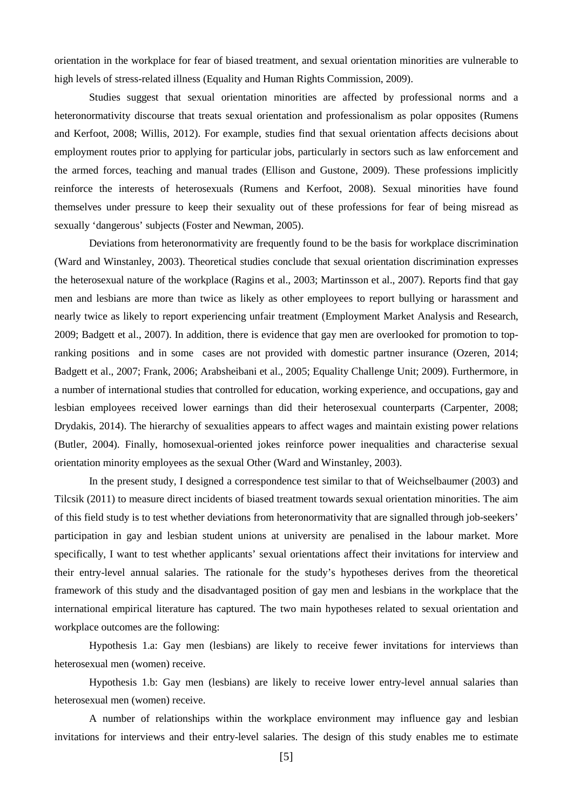orientation in the workplace for fear of biased treatment, and sexual orientation minorities are vulnerable to high levels of stress-related illness (Equality and Human Rights Commission, 2009).

Studies suggest that sexual orientation minorities are affected by professional norms and a heteronormativity discourse that treats sexual orientation and professionalism as polar opposites (Rumens and Kerfoot, 2008; Willis, 2012). For example, studies find that sexual orientation affects decisions about employment routes prior to applying for particular jobs, particularly in sectors such as law enforcement and the armed forces, teaching and manual trades (Ellison and Gustone, 2009). These professions implicitly reinforce the interests of heterosexuals (Rumens and Kerfoot, 2008). Sexual minorities have found themselves under pressure to keep their sexuality out of these professions for fear of being misread as sexually 'dangerous' subjects (Foster and Newman, 2005).

Deviations from heteronormativity are frequently found to be the basis for workplace discrimination (Ward and Winstanley, 2003). Theoretical studies conclude that sexual orientation discrimination expresses the heterosexual nature of the workplace (Ragins et al., 2003; Martinsson et al., 2007). Reports find that gay men and lesbians are more than twice as likely as other employees to report bullying or harassment and nearly twice as likely to report experiencing unfair treatment (Employment Market Analysis and Research, 2009; Badgett et al., 2007). In addition, there is evidence that gay men are overlooked for promotion to topranking positions and in some cases are not provided with domestic partner insurance (Ozeren, 2014; Badgett et al., 2007; Frank, 2006; Arabsheibani et al., 2005; Equality Challenge Unit; 2009). Furthermore, in a number of international studies that controlled for education, working experience, and occupations, gay and lesbian employees received lower earnings than did their heterosexual counterparts (Carpenter, 2008; Drydakis, 2014). The hierarchy of sexualities appears to affect wages and maintain existing power relations (Butler, 2004). Finally, homosexual-oriented jokes reinforce power inequalities and characterise sexual orientation minority employees as the sexual Other (Ward and Winstanley, 2003).

In the present study, I designed a correspondence test similar to that of Weichselbaumer (2003) and Tilcsik (2011) to measure direct incidents of biased treatment towards sexual orientation minorities. The aim of this field study is to test whether deviations from heteronormativity that are signalled through job-seekers' participation in gay and lesbian student unions at university are penalised in the labour market. More specifically, I want to test whether applicants' sexual orientations affect their invitations for interview and their entry-level annual salaries. The rationale for the study's hypotheses derives from the theoretical framework of this study and the disadvantaged position of gay men and lesbians in the workplace that the international empirical literature has captured. The two main hypotheses related to sexual orientation and workplace outcomes are the following:

Hypothesis 1.a: Gay men (lesbians) are likely to receive fewer invitations for interviews than heterosexual men (women) receive.

Hypothesis 1.b: Gay men (lesbians) are likely to receive lower entry-level annual salaries than heterosexual men (women) receive.

A number of relationships within the workplace environment may influence gay and lesbian invitations for interviews and their entry-level salaries. The design of this study enables me to estimate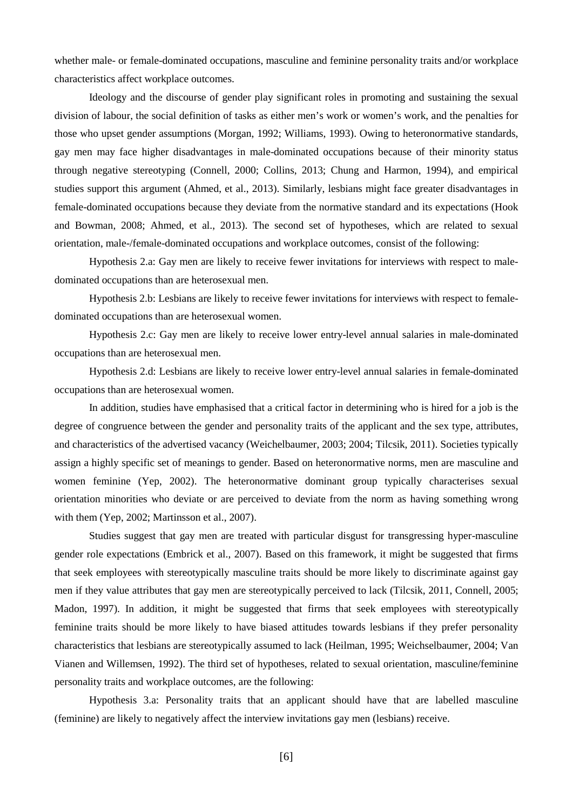whether male- or female-dominated occupations, masculine and feminine personality traits and/or workplace characteristics affect workplace outcomes.

Ideology and the discourse of gender play significant roles in promoting and sustaining the sexual division of labour, the social definition of tasks as either men's work or women's work, and the penalties for those who upset gender assumptions (Morgan, 1992; Williams, 1993). Owing to heteronormative standards, gay men may face higher disadvantages in male-dominated occupations because of their minority status through negative stereotyping (Connell, 2000; Collins, 2013; Chung and Harmon, 1994), and empirical studies support this argument (Ahmed, et al., 2013). Similarly, lesbians might face greater disadvantages in female-dominated occupations because they deviate from the normative standard and its expectations (Hook and Bowman, 2008; Ahmed, et al., 2013). The second set of hypotheses, which are related to sexual orientation, male-/female-dominated occupations and workplace outcomes, consist of the following:

Hypothesis 2.a: Gay men are likely to receive fewer invitations for interviews with respect to maledominated occupations than are heterosexual men.

Hypothesis 2.b: Lesbians are likely to receive fewer invitations for interviews with respect to femaledominated occupations than are heterosexual women.

Hypothesis 2.c: Gay men are likely to receive lower entry-level annual salaries in male-dominated occupations than are heterosexual men.

Hypothesis 2.d: Lesbians are likely to receive lower entry-level annual salaries in female-dominated occupations than are heterosexual women.

In addition, studies have emphasised that a critical factor in determining who is hired for a job is the degree of congruence between the gender and personality traits of the applicant and the sex type, attributes, and characteristics of the advertised vacancy (Weichelbaumer, 2003; 2004; Tilcsik, 2011). Societies typically assign a highly specific set of meanings to gender. Based on heteronormative norms, men are masculine and women feminine (Yep, 2002). The heteronormative dominant group typically characterises sexual orientation minorities who deviate or are perceived to deviate from the norm as having something wrong with them (Yep, 2002; Martinsson et al., 2007).

Studies suggest that gay men are treated with particular disgust for transgressing hyper-masculine gender role expectations (Embrick et al., 2007). Based on this framework, it might be suggested that firms that seek employees with stereotypically masculine traits should be more likely to discriminate against gay men if they value attributes that gay men are stereotypically perceived to lack (Tilcsik, 2011, Connell, 2005; Madon, 1997). In addition, it might be suggested that firms that seek employees with stereotypically feminine traits should be more likely to have biased attitudes towards lesbians if they prefer personality characteristics that lesbians are stereotypically assumed to lack (Heilman, 1995; Weichselbaumer, 2004; Van Vianen and Willemsen, 1992). The third set of hypotheses, related to sexual orientation, masculine/feminine personality traits and workplace outcomes, are the following:

Hypothesis 3.a: Personality traits that an applicant should have that are labelled masculine (feminine) are likely to negatively affect the interview invitations gay men (lesbians) receive.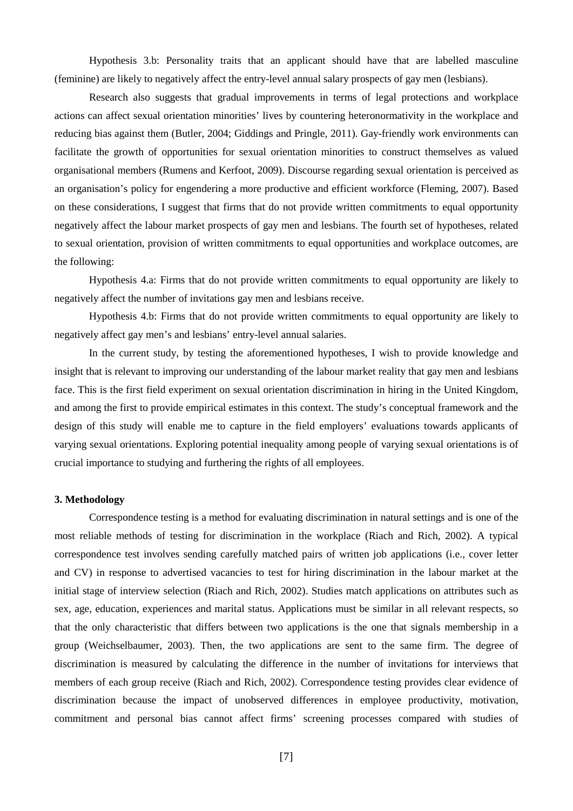Hypothesis 3.b: Personality traits that an applicant should have that are labelled masculine (feminine) are likely to negatively affect the entry-level annual salary prospects of gay men (lesbians).

Research also suggests that gradual improvements in terms of legal protections and workplace actions can affect sexual orientation minorities' lives by countering heteronormativity in the workplace and reducing bias against them (Butler, 2004; Giddings and Pringle, 2011). Gay-friendly work environments can facilitate the growth of opportunities for sexual orientation minorities to construct themselves as valued organisational members (Rumens and Kerfoot, 2009). Discourse regarding sexual orientation is perceived as an organisation's policy for engendering a more productive and efficient workforce (Fleming, 2007). Based on these considerations, I suggest that firms that do not provide written commitments to equal opportunity negatively affect the labour market prospects of gay men and lesbians. The fourth set of hypotheses, related to sexual orientation, provision of written commitments to equal opportunities and workplace outcomes, are the following:

Hypothesis 4.a: Firms that do not provide written commitments to equal opportunity are likely to negatively affect the number of invitations gay men and lesbians receive.

Hypothesis 4.b: Firms that do not provide written commitments to equal opportunity are likely to negatively affect gay men's and lesbians' entry-level annual salaries.

In the current study, by testing the aforementioned hypotheses, I wish to provide knowledge and insight that is relevant to improving our understanding of the labour market reality that gay men and lesbians face. This is the first field experiment on sexual orientation discrimination in hiring in the United Kingdom, and among the first to provide empirical estimates in this context. The study's conceptual framework and the design of this study will enable me to capture in the field employers' evaluations towards applicants of varying sexual orientations. Exploring potential inequality among people of varying sexual orientations is of crucial importance to studying and furthering the rights of all employees.

#### **3. Methodology**

Correspondence testing is a method for evaluating discrimination in natural settings and is one of the most reliable methods of testing for discrimination in the workplace (Riach and Rich, 2002). A typical correspondence test involves sending carefully matched pairs of written job applications (i.e., cover letter and CV) in response to advertised vacancies to test for hiring discrimination in the labour market at the initial stage of interview selection (Riach and Rich, 2002). Studies match applications on attributes such as sex, age, education, experiences and marital status. Applications must be similar in all relevant respects, so that the only characteristic that differs between two applications is the one that signals membership in a group (Weichselbaumer, 2003). Then, the two applications are sent to the same firm. The degree of discrimination is measured by calculating the difference in the number of invitations for interviews that members of each group receive (Riach and Rich, 2002). Correspondence testing provides clear evidence of discrimination because the impact of unobserved differences in employee productivity, motivation, commitment and personal bias cannot affect firms' screening processes compared with studies of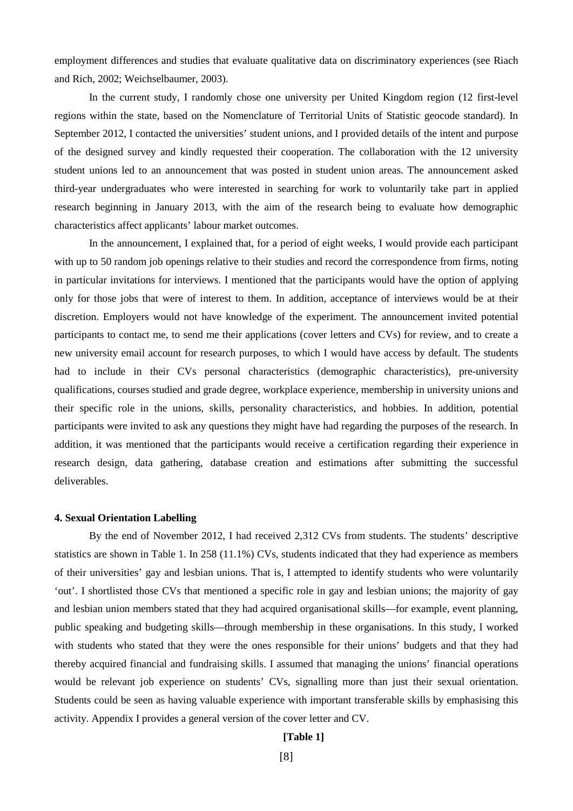employment differences and studies that evaluate qualitative data on discriminatory experiences (see Riach and Rich, 2002; Weichselbaumer, 2003).

In the current study, I randomly chose one university per United Kingdom region (12 first-level regions within the state, based on the Nomenclature of Territorial Units of Statistic geocode standard). In September 2012, I contacted the universities' student unions, and I provided details of the intent and purpose of the designed survey and kindly requested their cooperation. The collaboration with the 12 university student unions led to an announcement that was posted in student union areas. The announcement asked third-year undergraduates who were interested in searching for work to voluntarily take part in applied research beginning in January 2013, with the aim of the research being to evaluate how demographic characteristics affect applicants' labour market outcomes.

In the announcement, I explained that, for a period of eight weeks, I would provide each participant with up to 50 random job openings relative to their studies and record the correspondence from firms, noting in particular invitations for interviews. I mentioned that the participants would have the option of applying only for those jobs that were of interest to them. In addition, acceptance of interviews would be at their discretion. Employers would not have knowledge of the experiment. The announcement invited potential participants to contact me, to send me their applications (cover letters and CVs) for review, and to create a new university email account for research purposes, to which I would have access by default. The students had to include in their CVs personal characteristics (demographic characteristics), pre-university qualifications, courses studied and grade degree, workplace experience, membership in university unions and their specific role in the unions, skills, personality characteristics, and hobbies. In addition, potential participants were invited to ask any questions they might have had regarding the purposes of the research. In addition, it was mentioned that the participants would receive a certification regarding their experience in research design, data gathering, database creation and estimations after submitting the successful deliverables.

#### **4. Sexual Orientation Labelling**

By the end of November 2012, I had received 2,312 CVs from students. The students' descriptive statistics are shown in Table 1. In 258 (11.1%) CVs, students indicated that they had experience as members of their universities' gay and lesbian unions. That is, I attempted to identify students who were voluntarily 'out'. I shortlisted those CVs that mentioned a specific role in gay and lesbian unions; the majority of gay and lesbian union members stated that they had acquired organisational skills—for example, event planning, public speaking and budgeting skills—through membership in these organisations. In this study, I worked with students who stated that they were the ones responsible for their unions' budgets and that they had thereby acquired financial and fundraising skills. I assumed that managing the unions' financial operations would be relevant job experience on students' CVs, signalling more than just their sexual orientation. Students could be seen as having valuable experience with important transferable skills by emphasising this activity. Appendix I provides a general version of the cover letter and CV.

#### **[Table 1]**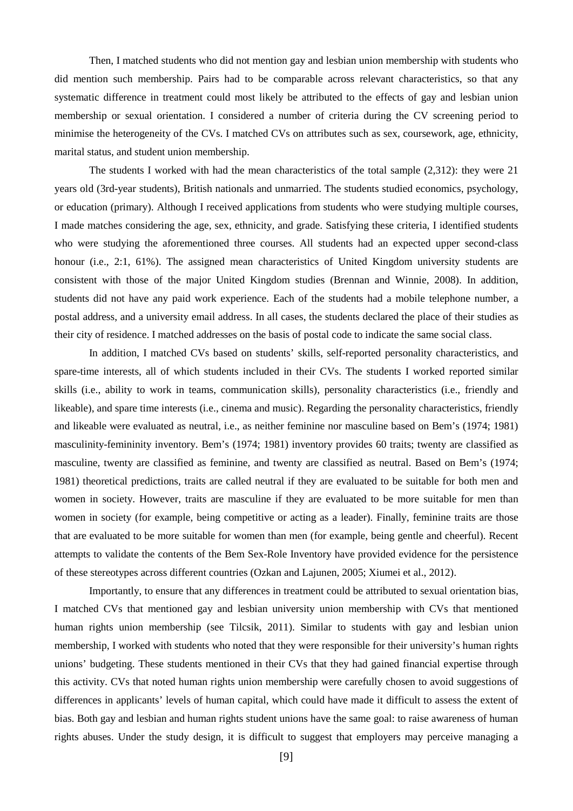Then, I matched students who did not mention gay and lesbian union membership with students who did mention such membership. Pairs had to be comparable across relevant characteristics, so that any systematic difference in treatment could most likely be attributed to the effects of gay and lesbian union membership or sexual orientation. I considered a number of criteria during the CV screening period to minimise the heterogeneity of the CVs. I matched CVs on attributes such as sex, coursework, age, ethnicity, marital status, and student union membership.

The students I worked with had the mean characteristics of the total sample (2,312): they were 21 years old (3rd-year students), British nationals and unmarried. The students studied economics, psychology, or education (primary). Although I received applications from students who were studying multiple courses, I made matches considering the age, sex, ethnicity, and grade. Satisfying these criteria, I identified students who were studying the aforementioned three courses. All students had an expected upper second-class honour (i.e., 2:1, 61%). The assigned mean characteristics of United Kingdom university students are consistent with those of the major United Kingdom studies (Brennan and Winnie, 2008). In addition, students did not have any paid work experience. Each of the students had a mobile telephone number, a postal address, and a university email address. In all cases, the students declared the place of their studies as their city of residence. I matched addresses on the basis of postal code to indicate the same social class.

In addition, I matched CVs based on students' skills, self-reported personality characteristics, and spare-time interests, all of which students included in their CVs. The students I worked reported similar skills (i.e., ability to work in teams, communication skills), personality characteristics (i.e., friendly and likeable), and spare time interests (i.e., cinema and music). Regarding the personality characteristics, friendly and likeable were evaluated as neutral, i.e., as neither feminine nor masculine based on Bem's (1974; 1981) masculinity-femininity inventory. Bem's (1974; 1981) inventory provides 60 traits; twenty are classified as masculine, twenty are classified as feminine, and twenty are classified as neutral. Based on Bem's (1974; 1981) theoretical predictions, traits are called neutral if they are evaluated to be suitable for both men and women in society. However, traits are masculine if they are evaluated to be more suitable for men than women in society (for example, being competitive or acting as a leader). Finally, feminine traits are those that are evaluated to be more suitable for women than men (for example, being gentle and cheerful). Recent attempts to validate the contents of the Bem Sex-Role Inventory have provided evidence for the persistence of these stereotypes across different countries (Ozkan and Lajunen, 2005; Xiumei et al., 2012).

Importantly, to ensure that any differences in treatment could be attributed to sexual orientation bias, I matched CVs that mentioned gay and lesbian university union membership with CVs that mentioned human rights union membership (see Tilcsik, 2011). Similar to students with gay and lesbian union membership, I worked with students who noted that they were responsible for their university's human rights unions' budgeting. These students mentioned in their CVs that they had gained financial expertise through this activity. CVs that noted human rights union membership were carefully chosen to avoid suggestions of differences in applicants' levels of human capital, which could have made it difficult to assess the extent of bias. Both gay and lesbian and human rights student unions have the same goal: to raise awareness of human rights abuses. Under the study design, it is difficult to suggest that employers may perceive managing a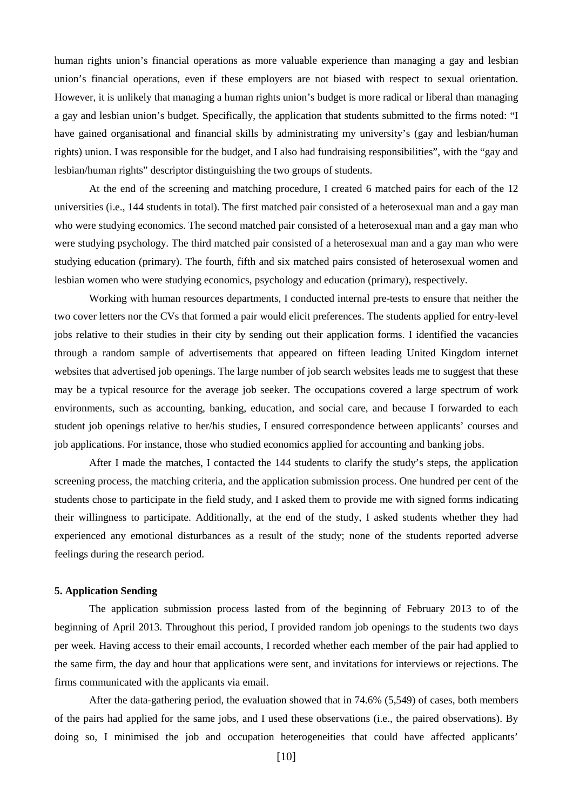human rights union's financial operations as more valuable experience than managing a gay and lesbian union's financial operations, even if these employers are not biased with respect to sexual orientation. However, it is unlikely that managing a human rights union's budget is more radical or liberal than managing a gay and lesbian union's budget. Specifically, the application that students submitted to the firms noted: "I have gained organisational and financial skills by administrating my university's (gay and lesbian/human rights) union. I was responsible for the budget, and I also had fundraising responsibilities", with the "gay and lesbian/human rights" descriptor distinguishing the two groups of students.

At the end of the screening and matching procedure, I created 6 matched pairs for each of the 12 universities (i.e., 144 students in total). The first matched pair consisted of a heterosexual man and a gay man who were studying economics. The second matched pair consisted of a heterosexual man and a gay man who were studying psychology. The third matched pair consisted of a heterosexual man and a gay man who were studying education (primary). The fourth, fifth and six matched pairs consisted of heterosexual women and lesbian women who were studying economics, psychology and education (primary), respectively.

Working with human resources departments, I conducted internal pre-tests to ensure that neither the two cover letters nor the CVs that formed a pair would elicit preferences. The students applied for entry-level jobs relative to their studies in their city by sending out their application forms. I identified the vacancies through a random sample of advertisements that appeared on fifteen leading United Kingdom internet websites that advertised job openings. The large number of job search websites leads me to suggest that these may be a typical resource for the average job seeker. The occupations covered a large spectrum of work environments, such as accounting, banking, education, and social care, and because I forwarded to each student job openings relative to her/his studies, I ensured correspondence between applicants' courses and job applications. For instance, those who studied economics applied for accounting and banking jobs.

After I made the matches, I contacted the 144 students to clarify the study's steps, the application screening process, the matching criteria, and the application submission process. One hundred per cent of the students chose to participate in the field study, and I asked them to provide me with signed forms indicating their willingness to participate. Additionally, at the end of the study, I asked students whether they had experienced any emotional disturbances as a result of the study; none of the students reported adverse feelings during the research period.

#### **5. Application Sending**

The application submission process lasted from of the beginning of February 2013 to of the beginning of April 2013. Throughout this period, I provided random job openings to the students two days per week. Having access to their email accounts, I recorded whether each member of the pair had applied to the same firm, the day and hour that applications were sent, and invitations for interviews or rejections. The firms communicated with the applicants via email.

After the data-gathering period, the evaluation showed that in 74.6% (5,549) of cases, both members of the pairs had applied for the same jobs, and I used these observations (i.e., the paired observations). By doing so, I minimised the job and occupation heterogeneities that could have affected applicants'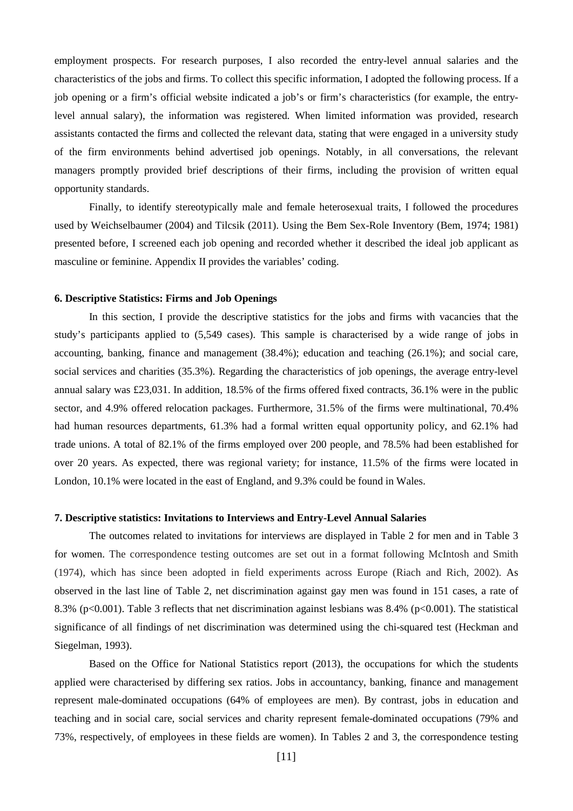employment prospects. For research purposes, I also recorded the entry-level annual salaries and the characteristics of the jobs and firms. To collect this specific information, I adopted the following process. If a job opening or a firm's official website indicated a job's or firm's characteristics (for example, the entrylevel annual salary), the information was registered. When limited information was provided, research assistants contacted the firms and collected the relevant data, stating that were engaged in a university study of the firm environments behind advertised job openings. Notably, in all conversations, the relevant managers promptly provided brief descriptions of their firms, including the provision of written equal opportunity standards.

Finally, to identify stereotypically male and female heterosexual traits, I followed the procedures used by Weichselbaumer (2004) and Tilcsik (2011). Using the Bem Sex-Role Inventory (Bem, 1974; 1981) presented before, I screened each job opening and recorded whether it described the ideal job applicant as masculine or feminine. Appendix II provides the variables' coding.

#### **6. Descriptive Statistics: Firms and Job Openings**

In this section, I provide the descriptive statistics for the jobs and firms with vacancies that the study's participants applied to (5,549 cases). This sample is characterised by a wide range of jobs in accounting, banking, finance and management (38.4%); education and teaching (26.1%); and social care, social services and charities (35.3%). Regarding the characteristics of job openings, the average entry-level annual salary was £23,031. In addition, 18.5% of the firms offered fixed contracts, 36.1% were in the public sector, and 4.9% offered relocation packages. Furthermore, 31.5% of the firms were multinational, 70.4% had human resources departments, 61.3% had a formal written equal opportunity policy, and 62.1% had trade unions. A total of 82.1% of the firms employed over 200 people, and 78.5% had been established for over 20 years. As expected, there was regional variety; for instance, 11.5% of the firms were located in London, 10.1% were located in the east of England, and 9.3% could be found in Wales.

#### **7. Descriptive statistics: Invitations to Interviews and Entry-Level Annual Salaries**

The outcomes related to invitations for interviews are displayed in Table 2 for men and in Table 3 for women. The correspondence testing outcomes are set out in a format following McIntosh and Smith (1974), which has since been adopted in field experiments across Europe (Riach and Rich, 2002). As observed in the last line of Table 2, net discrimination against gay men was found in 151 cases, a rate of 8.3% (p<0.001). Table 3 reflects that net discrimination against lesbians was 8.4% (p<0.001). The statistical significance of all findings of net discrimination was determined using the chi-squared test (Heckman and Siegelman, 1993).

Based on the Office for National Statistics report (2013), the occupations for which the students applied were characterised by differing sex ratios. Jobs in accountancy, banking, finance and management represent male-dominated occupations (64% of employees are men). By contrast, jobs in education and teaching and in social care, social services and charity represent female-dominated occupations (79% and 73%, respectively, of employees in these fields are women). In Tables 2 and 3, the correspondence testing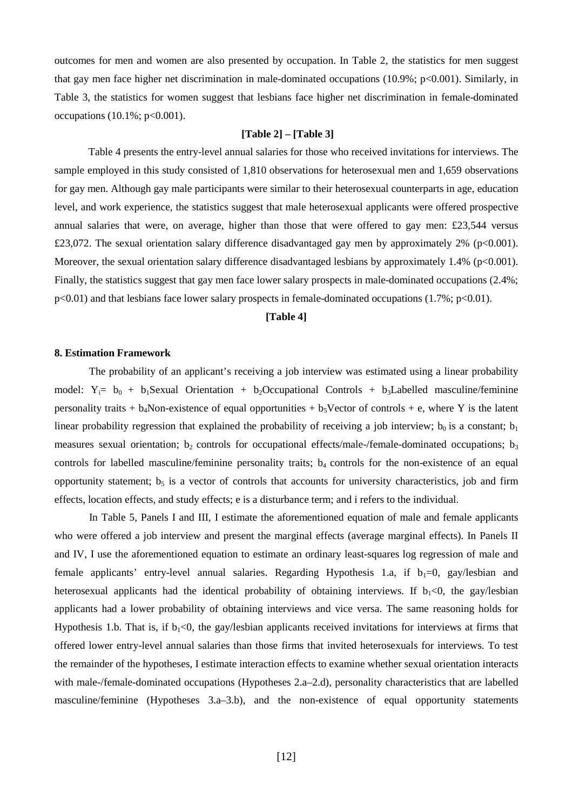outcomes for men and women are also presented by occupation. In Table 2, the statistics for men suggest that gay men face higher net discrimination in male-dominated occupations (10.9%; p<0.001). Similarly, in Table 3, the statistics for women suggest that lesbians face higher net discrimination in female-dominated occupations  $(10.1\%; p<0.001)$ .

#### **[Table 2] – [Table 3]**

Table 4 presents the entry-level annual salaries for those who received invitations for interviews. The sample employed in this study consisted of 1,810 observations for heterosexual men and 1,659 observations for gay men. Although gay male participants were similar to their heterosexual counterparts in age, education level, and work experience, the statistics suggest that male heterosexual applicants were offered prospective annual salaries that were, on average, higher than those that were offered to gay men: £23,544 versus £23,072. The sexual orientation salary difference disadvantaged gay men by approximately 2% (p<0.001). Moreover, the sexual orientation salary difference disadvantaged lesbians by approximately 1.4% ( $p<0.001$ ). Finally, the statistics suggest that gay men face lower salary prospects in male-dominated occupations (2.4%;  $p<0.01$ ) and that lesbians face lower salary prospects in female-dominated occupations (1.7%;  $p<0.01$ ).

#### **[Table 4]**

#### **8. Estimation Framework**

The probability of an applicant's receiving a job interview was estimated using a linear probability model:  $Y_i = b_0 + b_1$ Sexual Orientation + b<sub>2</sub>Occupational Controls + b<sub>3</sub>Labelled masculine/feminine personality traits + b<sub>4</sub>Non-existence of equal opportunities + b<sub>5</sub>Vector of controls + e, where Y is the latent linear probability regression that explained the probability of receiving a job interview;  $b_0$  is a constant;  $b_1$ measures sexual orientation;  $b_2$  controls for occupational effects/male-/female-dominated occupations;  $b_3$ controls for labelled masculine/feminine personality traits;  $b_4$  controls for the non-existence of an equal opportunity statement;  $b_5$  is a vector of controls that accounts for university characteristics, job and firm effects, location effects, and study effects; e is a disturbance term; and i refers to the individual.

In Table 5, Panels I and III, I estimate the aforementioned equation of male and female applicants who were offered a job interview and present the marginal effects (average marginal effects). In Panels II and IV, I use the aforementioned equation to estimate an ordinary least-squares log regression of male and female applicants' entry-level annual salaries. Regarding Hypothesis 1.a, if  $b_1=0$ , gay/lesbian and heterosexual applicants had the identical probability of obtaining interviews. If  $b_1 < 0$ , the gay/lesbian applicants had a lower probability of obtaining interviews and vice versa. The same reasoning holds for Hypothesis 1.b. That is, if  $b_1 < 0$ , the gay/lesbian applicants received invitations for interviews at firms that offered lower entry-level annual salaries than those firms that invited heterosexuals for interviews. To test the remainder of the hypotheses, I estimate interaction effects to examine whether sexual orientation interacts with male-/female-dominated occupations (Hypotheses 2.a–2.d), personality characteristics that are labelled masculine/feminine (Hypotheses 3.a–3.b), and the non-existence of equal opportunity statements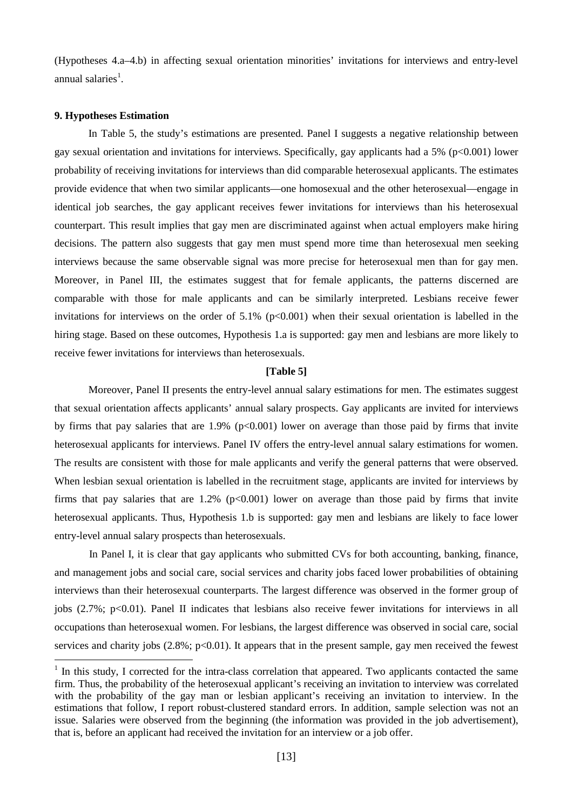(Hypotheses 4.a–4.b) in affecting sexual orientation minorities' invitations for interviews and entry-level annual salaries<sup>1</sup>.

#### **9. Hypotheses Estimation**

**.** 

In Table 5, the study's estimations are presented. Panel I suggests a negative relationship between gay sexual orientation and invitations for interviews. Specifically, gay applicants had a 5% ( $p<0.001$ ) lower probability of receiving invitations for interviews than did comparable heterosexual applicants. The estimates provide evidence that when two similar applicants—one homosexual and the other heterosexual—engage in identical job searches, the gay applicant receives fewer invitations for interviews than his heterosexual counterpart. This result implies that gay men are discriminated against when actual employers make hiring decisions. The pattern also suggests that gay men must spend more time than heterosexual men seeking interviews because the same observable signal was more precise for heterosexual men than for gay men. Moreover, in Panel III, the estimates suggest that for female applicants, the patterns discerned are comparable with those for male applicants and can be similarly interpreted. Lesbians receive fewer invitations for interviews on the order of  $5.1\%$  (p<0.001) when their sexual orientation is labelled in the hiring stage. Based on these outcomes, Hypothesis 1.a is supported: gay men and lesbians are more likely to receive fewer invitations for interviews than heterosexuals.

#### **[Table 5]**

Moreover, Panel II presents the entry-level annual salary estimations for men. The estimates suggest that sexual orientation affects applicants' annual salary prospects. Gay applicants are invited for interviews by firms that pay salaries that are  $1.9\%$  (p<0.001) lower on average than those paid by firms that invite heterosexual applicants for interviews. Panel IV offers the entry-level annual salary estimations for women. The results are consistent with those for male applicants and verify the general patterns that were observed. When lesbian sexual orientation is labelled in the recruitment stage, applicants are invited for interviews by firms that pay salaries that are  $1.2\%$  (p<0.001) lower on average than those paid by firms that invite heterosexual applicants. Thus, Hypothesis 1.b is supported: gay men and lesbians are likely to face lower entry-level annual salary prospects than heterosexuals.

In Panel I, it is clear that gay applicants who submitted CVs for both accounting, banking, finance, and management jobs and social care, social services and charity jobs faced lower probabilities of obtaining interviews than their heterosexual counterparts. The largest difference was observed in the former group of jobs (2.7%; p<0.01). Panel II indicates that lesbians also receive fewer invitations for interviews in all occupations than heterosexual women. For lesbians, the largest difference was observed in social care, social services and charity jobs  $(2.8\%; p<0.01)$ . It appears that in the present sample, gay men received the fewest

<sup>&</sup>lt;sup>1</sup> In this study, I corrected for the intra-class correlation that appeared. Two applicants contacted the same firm. Thus, the probability of the heterosexual applicant's receiving an invitation to interview was correlated with the probability of the gay man or lesbian applicant's receiving an invitation to interview. In the estimations that follow, I report robust-clustered standard errors. In addition, sample selection was not an issue. Salaries were observed from the beginning (the information was provided in the job advertisement), that is, before an applicant had received the invitation for an interview or a job offer.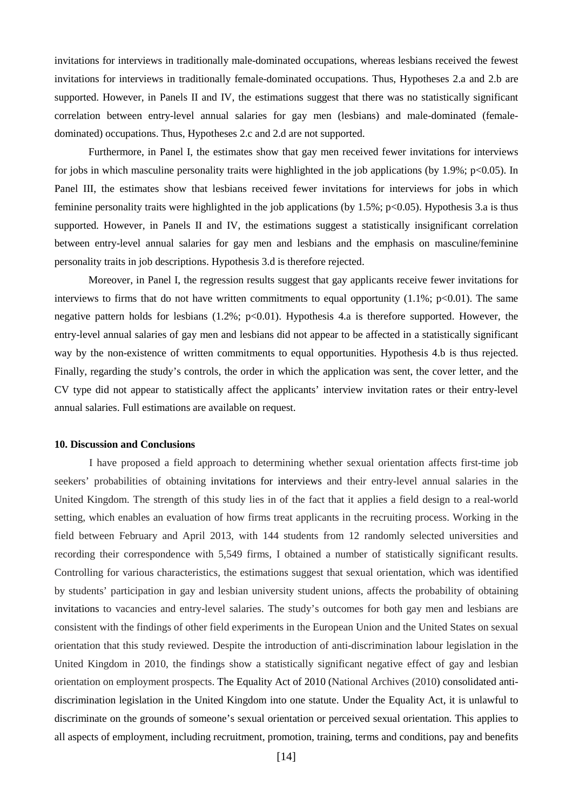invitations for interviews in traditionally male-dominated occupations, whereas lesbians received the fewest invitations for interviews in traditionally female-dominated occupations. Thus, Hypotheses 2.a and 2.b are supported. However, in Panels II and IV, the estimations suggest that there was no statistically significant correlation between entry-level annual salaries for gay men (lesbians) and male-dominated (femaledominated) occupations. Thus, Hypotheses 2.c and 2.d are not supported.

Furthermore, in Panel I, the estimates show that gay men received fewer invitations for interviews for jobs in which masculine personality traits were highlighted in the job applications (by  $1.9\%$ ; p<0.05). In Panel III, the estimates show that lesbians received fewer invitations for interviews for jobs in which feminine personality traits were highlighted in the job applications (by 1.5%; p<0.05). Hypothesis 3.a is thus supported. However, in Panels II and IV, the estimations suggest a statistically insignificant correlation between entry-level annual salaries for gay men and lesbians and the emphasis on masculine/feminine personality traits in job descriptions. Hypothesis 3.d is therefore rejected.

Moreover, in Panel I, the regression results suggest that gay applicants receive fewer invitations for interviews to firms that do not have written commitments to equal opportunity  $(1.1\%; p<0.01)$ . The same negative pattern holds for lesbians  $(1.2\%; p<0.01)$ . Hypothesis 4.a is therefore supported. However, the entry-level annual salaries of gay men and lesbians did not appear to be affected in a statistically significant way by the non-existence of written commitments to equal opportunities. Hypothesis 4.b is thus rejected. Finally, regarding the study's controls, the order in which the application was sent, the cover letter, and the CV type did not appear to statistically affect the applicants' interview invitation rates or their entry-level annual salaries. Full estimations are available on request.

#### **10. Discussion and Conclusions**

I have proposed a field approach to determining whether sexual orientation affects first-time job seekers' probabilities of obtaining invitations for interviews and their entry-level annual salaries in the United Kingdom. The strength of this study lies in of the fact that it applies a field design to a real-world setting, which enables an evaluation of how firms treat applicants in the recruiting process. Working in the field between February and April 2013, with 144 students from 12 randomly selected universities and recording their correspondence with 5,549 firms, I obtained a number of statistically significant results. Controlling for various characteristics, the estimations suggest that sexual orientation, which was identified by students' participation in gay and lesbian university student unions, affects the probability of obtaining invitations to vacancies and entry-level salaries. The study's outcomes for both gay men and lesbians are consistent with the findings of other field experiments in the European Union and the United States on sexual orientation that this study reviewed. Despite the introduction of anti-discrimination labour legislation in the United Kingdom in 2010, the findings show a statistically significant negative effect of gay and lesbian orientation on employment prospects. The Equality Act of 2010 (National Archives (2010) consolidated antidiscrimination legislation in the United Kingdom into one statute. Under the Equality Act, it is unlawful to discriminate on the grounds of someone's sexual orientation or perceived sexual orientation. This applies to all aspects of employment, including recruitment, promotion, training, terms and conditions, pay and benefits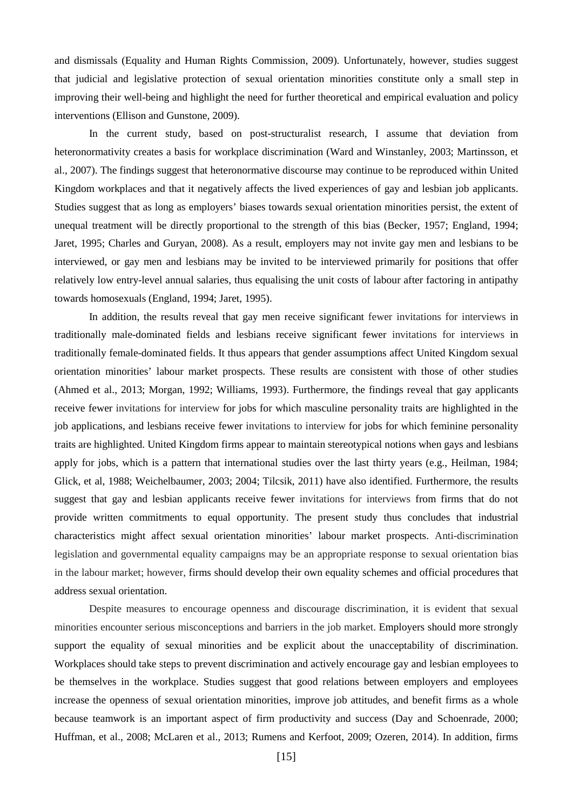and dismissals (Equality and Human Rights Commission, 2009). Unfortunately, however, studies suggest that judicial and legislative protection of sexual orientation minorities constitute only a small step in improving their well-being and highlight the need for further theoretical and empirical evaluation and policy interventions (Ellison and Gunstone, 2009).

In the current study, based on post-structuralist research, I assume that deviation from heteronormativity creates a basis for workplace discrimination (Ward and Winstanley, 2003; Martinsson, et al., 2007). The findings suggest that heteronormative discourse may continue to be reproduced within United Kingdom workplaces and that it negatively affects the lived experiences of gay and lesbian job applicants. Studies suggest that as long as employers' biases towards sexual orientation minorities persist, the extent of unequal treatment will be directly proportional to the strength of this bias (Becker, 1957; England, 1994; Jaret, 1995; Charles and Guryan, 2008). As a result, employers may not invite gay men and lesbians to be interviewed, or gay men and lesbians may be invited to be interviewed primarily for positions that offer relatively low entry-level annual salaries, thus equalising the unit costs of labour after factoring in antipathy towards homosexuals (England, 1994; Jaret, 1995).

In addition, the results reveal that gay men receive significant fewer invitations for interviews in traditionally male-dominated fields and lesbians receive significant fewer invitations for interviews in traditionally female-dominated fields. It thus appears that gender assumptions affect United Kingdom sexual orientation minorities' labour market prospects. These results are consistent with those of other studies (Ahmed et al., 2013; Morgan, 1992; Williams, 1993). Furthermore, the findings reveal that gay applicants receive fewer invitations for interview for jobs for which masculine personality traits are highlighted in the job applications, and lesbians receive fewer invitations to interview for jobs for which feminine personality traits are highlighted. United Kingdom firms appear to maintain stereotypical notions when gays and lesbians apply for jobs, which is a pattern that international studies over the last thirty years (e.g., Heilman, 1984; Glick, et al, 1988; Weichelbaumer, 2003; 2004; Tilcsik, 2011) have also identified. Furthermore, the results suggest that gay and lesbian applicants receive fewer invitations for interviews from firms that do not provide written commitments to equal opportunity. The present study thus concludes that industrial characteristics might affect sexual orientation minorities' labour market prospects. Anti-discrimination legislation and governmental equality campaigns may be an appropriate response to sexual orientation bias in the labour market; however, firms should develop their own equality schemes and official procedures that address sexual orientation.

Despite measures to encourage openness and discourage discrimination, it is evident that sexual minorities encounter serious misconceptions and barriers in the job market. Employers should more strongly support the equality of sexual minorities and be explicit about the unacceptability of discrimination. Workplaces should take steps to prevent discrimination and actively encourage gay and lesbian employees to be themselves in the workplace. Studies suggest that good relations between employers and employees increase the openness of sexual orientation minorities, improve job attitudes, and benefit firms as a whole because teamwork is an important aspect of firm productivity and success (Day and Schoenrade, 2000; Huffman, et al., 2008; McLaren et al., 2013; Rumens and Kerfoot, 2009; Ozeren, 2014). In addition, firms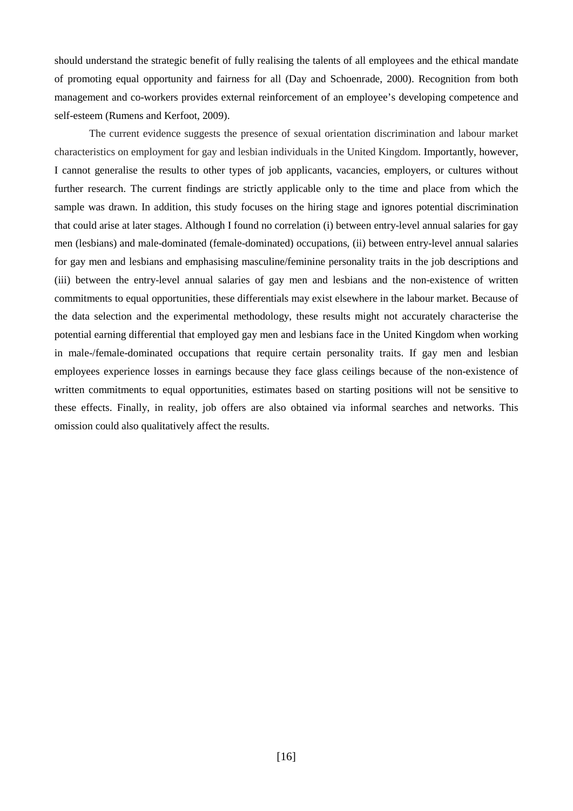should understand the strategic benefit of fully realising the talents of all employees and the ethical mandate of promoting equal opportunity and fairness for all (Day and Schoenrade, 2000). Recognition from both management and co-workers provides external reinforcement of an employee's developing competence and self-esteem (Rumens and Kerfoot, 2009).

The current evidence suggests the presence of sexual orientation discrimination and labour market characteristics on employment for gay and lesbian individuals in the United Kingdom. Importantly, however, I cannot generalise the results to other types of job applicants, vacancies, employers, or cultures without further research. The current findings are strictly applicable only to the time and place from which the sample was drawn. In addition, this study focuses on the hiring stage and ignores potential discrimination that could arise at later stages. Although I found no correlation (i) between entry-level annual salaries for gay men (lesbians) and male-dominated (female-dominated) occupations, (ii) between entry-level annual salaries for gay men and lesbians and emphasising masculine/feminine personality traits in the job descriptions and (iii) between the entry-level annual salaries of gay men and lesbians and the non-existence of written commitments to equal opportunities, these differentials may exist elsewhere in the labour market. Because of the data selection and the experimental methodology, these results might not accurately characterise the potential earning differential that employed gay men and lesbians face in the United Kingdom when working in male-/female-dominated occupations that require certain personality traits. If gay men and lesbian employees experience losses in earnings because they face glass ceilings because of the non-existence of written commitments to equal opportunities, estimates based on starting positions will not be sensitive to these effects. Finally, in reality, job offers are also obtained via informal searches and networks. This omission could also qualitatively affect the results.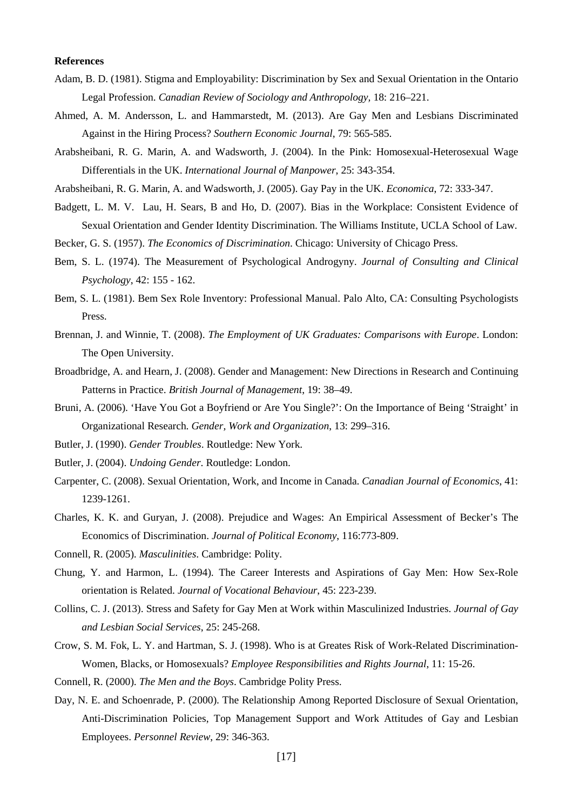#### **References**

- Adam, B. D. (1981). Stigma and Employability: Discrimination by Sex and Sexual Orientation in the Ontario Legal Profession. *Canadian Review of Sociology and Anthropology,* 18: 216–221.
- Ahmed, A. M. Andersson, L. and Hammarstedt, M. (2013). Are Gay Men and Lesbians Discriminated Against in the Hiring Process? *Southern Economic Journal*, 79: 565-585.
- Arabsheibani, R. G. Marin, A. and Wadsworth, J. (2004). In the Pink: Homosexual-Heterosexual Wage Differentials in the UK. *International Journal of Manpower*, 25: 343-354.
- Arabsheibani, R. G. Marin, A. and Wadsworth, J. (2005). Gay Pay in the UK. *Economica*, 72: 333-347.
- Badgett, L. M. V. Lau, H. Sears, B and Ho, D. (2007). Bias in the Workplace: Consistent Evidence of Sexual Orientation and Gender Identity Discrimination. The Williams Institute, UCLA School of Law.

Becker, G. S. (1957). *The Economics of Discrimination*. Chicago: University of Chicago Press.

- Bem, S. L. (1974). The Measurement of Psychological Androgyny. *Journal of Consulting and Clinical Psychology*, 42: 155 - 162.
- Bem, S. L. (1981). Bem Sex Role Inventory: Professional Manual. Palo Alto, CA: Consulting Psychologists Press.
- Brennan, J. and Winnie, T. (2008). *The Employment of UK Graduates: Comparisons with Europe*. London: The Open University.
- Broadbridge, A. and Hearn, J. (2008). Gender and Management: New Directions in Research and Continuing Patterns in Practice. *British Journal of Management*, 19: 38–49.
- Bruni, A. (2006). 'Have You Got a Boyfriend or Are You Single?': On the Importance of Being 'Straight' in Organizational Research. *Gender, Work and Organization*, 13: 299–316.
- Butler, J. (1990). *Gender Troubles*. Routledge: New York.
- Butler, J. (2004). *Undoing Gender*. Routledge: London.
- Carpenter, C. (2008). Sexual Orientation, Work, and Income in Canada. *Canadian Journal of Economics*, 41: 1239-1261.
- Charles, K. K. and Guryan, J. (2008). Prejudice and Wages: An Empirical Assessment of Becker's The Economics of Discrimination. *Journal of Political Economy*, 116:773-809.
- Connell, R. (2005). *Masculinities*. Cambridge: Polity.
- Chung, Y. and Harmon, L. (1994). The Career Interests and Aspirations of Gay Men: How Sex-Role orientation is Related. *Journal of Vocational Behaviour*, 45: 223-239.
- Collins, C. J. (2013). Stress and Safety for Gay Men at Work within Masculinized Industries. *Journal of Gay and Lesbian Social Services*, 25: 245-268.
- Crow, S. M. Fok, L. Y. and Hartman, S. J. (1998). Who is at Greates Risk of Work-Related Discrimination-Women, Blacks, or Homosexuals? *Employee Responsibilities and Rights Journal*, 11: 15-26.
- Connell, R. (2000). *The Men and the Boys*. Cambridge Polity Press.
- Day, N. E. and Schoenrade, P. (2000). The Relationship Among Reported Disclosure of Sexual Orientation, Anti-Discrimination Policies, Top Management Support and Work Attitudes of Gay and Lesbian Employees. *Personnel Review*, 29: 346-363.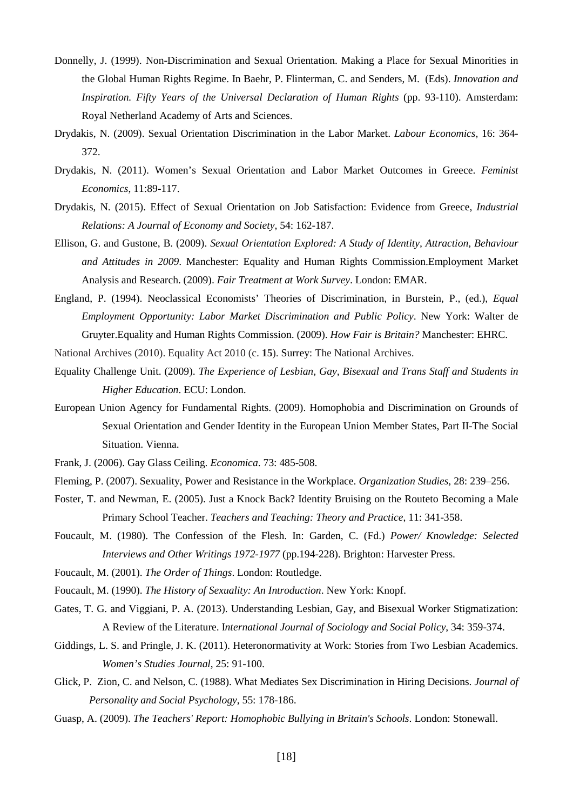- Donnelly, J. (1999). Non-Discrimination and Sexual Orientation. Making a Place for Sexual Minorities in the Global Human Rights Regime. In Baehr, P. Flinterman, C. and Senders, M. (Eds). *Innovation and Inspiration. Fifty Years of the Universal Declaration of Human Rights* (pp. 93-110). Amsterdam: Royal Netherland Academy of Arts and Sciences.
- Drydakis, N. (2009). Sexual Orientation Discrimination in the Labor Market. *Labour Economics,* 16: 364- 372.
- Drydakis, N. (2011). Women's Sexual Orientation and Labor Market Outcomes in Greece. *Feminist Economics*, 11:89-117.
- Drydakis, N. (2015). Effect of Sexual Orientation on Job Satisfaction: Evidence from Greece, *Industrial Relations: A Journal of Economy and Society*, 54: 162-187.
- Ellison, G. and Gustone, B. (2009). *Sexual Orientation Explored: A Study of Identity, Attraction, Behaviour and Attitudes in 2009*. Manchester: Equality and Human Rights Commission.Employment Market Analysis and Research. (2009). *Fair Treatment at Work Survey*. London: EMAR.
- England, P. (1994). Neoclassical Economists' Theories of Discrimination, in Burstein, P., (ed.), *Equal Employment Opportunity: Labor Market Discrimination and Public Policy*. New York: Walter de Gruyter.Equality and Human Rights Commission. (2009). *How Fair is Britain?* Manchester: EHRC.

National Archives (2010). Equality Act 2010 (c. **15**). Surrey: The National Archives.

- Equality Challenge Unit. (2009). *The Experience of Lesbian, Gay, Bisexual and Trans Staff and Students in Higher Education*. ECU: London.
- European Union Agency for Fundamental Rights. (2009). Homophobia and Discrimination on Grounds of Sexual Orientation and Gender Identity in the European Union Member States, Part II-The Social Situation. Vienna.
- Frank, J. (2006). Gay Glass Ceiling. *Economica*. 73: 485-508.
- Fleming, P. (2007). Sexuality, Power and Resistance in the Workplace. *Organization Studies,* 28: 239–256.
- Foster, T. and Newman, E. (2005). Just a Knock Back? Identity Bruising on the Routeto Becoming a Male Primary School Teacher. *Teachers and Teaching: Theory and Practice*, 11: 341-358.
- Foucault, M. (1980). The Confession of the Flesh. In: Garden, C. (Fd.) *Power/ Knowledge: Selected Interviews and Other Writings 1972-1977* (pp.194-228). Brighton: Harvester Press.
- Foucault, M. (2001). *The Order of Things*. London: Routledge.
- Foucault, M. (1990). *The History of Sexuality: An Introduction*. New York: Knopf.
- Gates, T. G. and Viggiani, P. A. (2013). Understanding Lesbian, Gay, and Bisexual Worker Stigmatization: A Review of the Literature. I*nternational Journal of Sociology and Social Policy*, 34: 359-374.
- Giddings, L. S. and Pringle, J. K. (2011). Heteronormativity at Work: Stories from Two Lesbian Academics. *Women's Studies Journal*, 25: 91-100.
- Glick, P. Zion, C. and Nelson, C. (1988). What Mediates Sex Discrimination in Hiring Decisions. *Journal of Personality and Social Psychology*, 55: 178-186.
- Guasp, A. (2009). *The Teachers' Report: Homophobic Bullying in Britain's Schools*. London: Stonewall.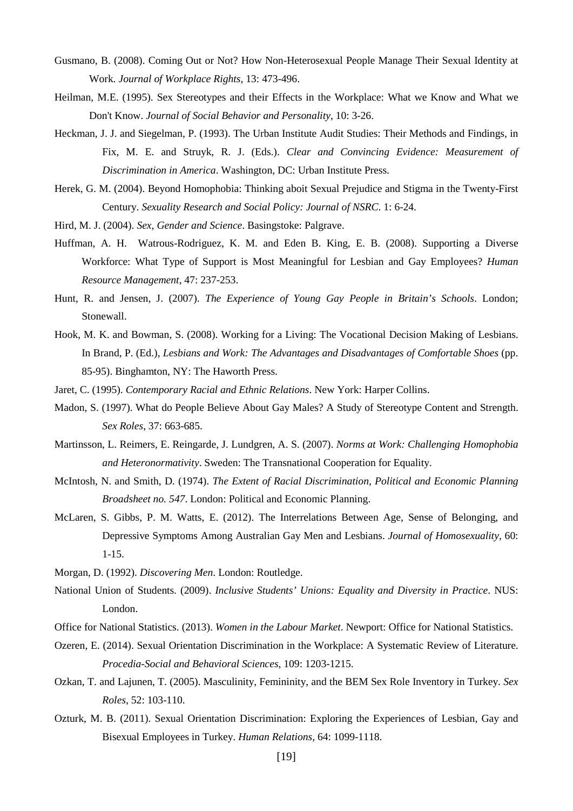- Gusmano, B. (2008). Coming Out or Not? How Non-Heterosexual People Manage Their Sexual Identity at Work. *Journal of Workplace Rights*, 13: 473-496.
- Heilman, M.E. (1995). Sex Stereotypes and their Effects in the Workplace: What we Know and What we Don't Know. *Journal of Social Behavior and Personality*, 10: 3-26.
- Heckman, J. J. and Siegelman, P. (1993). The Urban Institute Audit Studies: Their Methods and Findings, in Fix, M. E. and Struyk, R. J. (Eds.). *Clear and Convincing Evidence: Measurement of Discrimination in America*. Washington, DC: Urban Institute Press.
- Herek, G. M. (2004). Beyond Homophobia: Thinking aboit Sexual Prejudice and Stigma in the Twenty-First Century. *Sexuality Research and Social Policy: Journal of NSRC*. 1: 6-24.
- Hird, M. J. (2004). *Sex, Gender and Science*. Basingstoke: Palgrave.
- Huffman, A. H. Watrous-Rodriguez, K. M. and Eden B. King, E. B. (2008). Supporting a Diverse Workforce: What Type of Support is Most Meaningful for Lesbian and Gay Employees? *Human Resource Management*, 47: 237-253.
- Hunt, R. and Jensen, J. (2007). *The Experience of Young Gay People in Britain's Schools*. London; Stonewall.
- Hook, M. K. and Bowman, S. (2008). Working for a Living: The Vocational Decision Making of Lesbians. In Brand, P. (Ed.), *Lesbians and Work: The Advantages and Disadvantages of Comfortable Shoes* (pp. 85-95). Binghamton, NY: The Haworth Press.
- Jaret, C. (1995). *Contemporary Racial and Ethnic Relations*. New York: Harper Collins.
- Madon, S. (1997). What do People Believe About Gay Males? A Study of Stereotype Content and Strength. *Sex Roles*, 37: 663-685.
- Martinsson, L. Reimers, E. Reingarde, J. Lundgren, A. S. (2007). *Norms at Work: Challenging Homophobia and Heteronormativity*. Sweden: The Transnational Cooperation for Equality.
- McIntosh, N. and Smith, D. (1974). *The Extent of Racial Discrimination, Political and Economic Planning Broadsheet no. 547*. London: Political and Economic Planning.
- McLaren, S. Gibbs, P. M. Watts, E. (2012). The Interrelations Between Age, Sense of Belonging, and Depressive Symptoms Among Australian Gay Men and Lesbians. *Journal of Homosexuality*, 60: 1-15.
- Morgan, D. (1992). *Discovering Men*. London: Routledge.
- National Union of Students. (2009). *Inclusive Students' Unions: Equality and Diversity in Practice*. NUS: London.
- Office for National Statistics. (2013). *Women in the Labour Market*. Newport: Office for National Statistics.
- Ozeren, E. (2014). Sexual Orientation Discrimination in the Workplace: A Systematic Review of Literature. *Procedia-Social and Behavioral Sciences*, 109: 1203-1215.
- Ozkan, T. and Lajunen, T. (2005). Masculinity, Femininity, and the BEM Sex Role Inventory in Turkey. *Sex Roles*, 52: 103-110.
- Ozturk, M. B. (2011). Sexual Orientation Discrimination: Exploring the Experiences of Lesbian, Gay and Bisexual Employees in Turkey. *Human Relations*, 64: 1099-1118.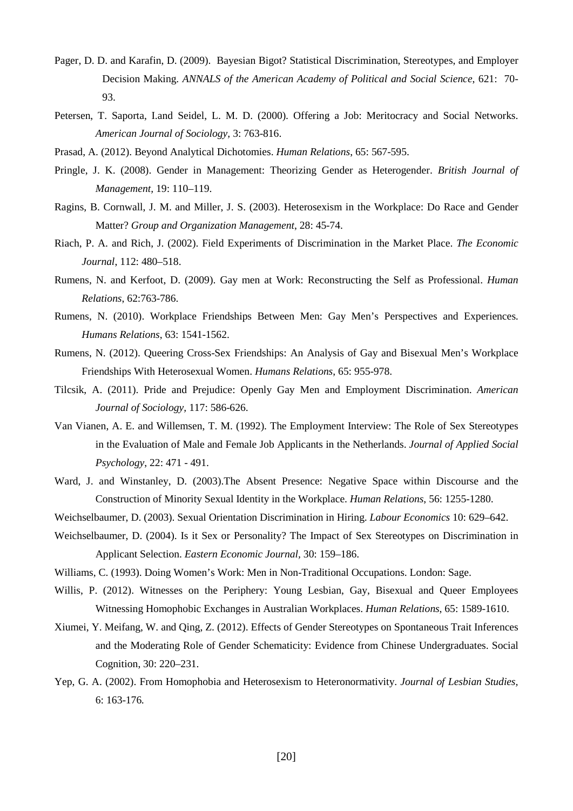- [Pager,](http://ann.sagepub.com/search?author1=Devah+Pager&sortspec=date&submit=Submit) D. D. and Karafin, D. (2009). Bayesian Bigot? Statistical Discrimination, Stereotypes, and Employer Decision Making. *ANNALS of the American Academy of Political and Social Science*, 621: 70- 93.
- Petersen, T. Saporta, I.and Seidel, L. M. D. (2000). Offering a Job: Meritocracy and Social Networks. *American Journal of Sociology,* 3: 763-816.
- Prasad, A. (2012). Beyond Analytical Dichotomies. *Human Relations*, 65: 567-595.
- Pringle, J. K. (2008). Gender in Management: Theorizing Gender as Heterogender. *British Journal of Management,* 19: 110–119.
- Ragins, B. Cornwall, J. M. and Miller, J. S. (2003). Heterosexism in the Workplace: Do Race and Gender Matter? *Group and Organization Management*, 28: 45-74.
- Riach, P. A. and Rich, J. (2002). Field Experiments of Discrimination in the Market Place. *The Economic Journal*, 112: 480–518.
- Rumens, N. and Kerfoot, D. (2009). Gay men at Work: Reconstructing the Self as Professional. *Human Relations*, 62:763-786.
- Rumens, N. (2010). Workplace Friendships Between Men: Gay Men's Perspectives and Experiences. *Humans Relations*, 63: 1541-1562.
- Rumens, N. (2012). Queering Cross-Sex Friendships: An Analysis of Gay and Bisexual Men's Workplace Friendships With Heterosexual Women. *Humans Relations*, 65: 955-978.
- Tilcsik, A. (2011). Pride and Prejudice: Openly Gay Men and Employment Discrimination. *American Journal of Sociology,* 117: 586-626.
- Van Vianen, A. E. and Willemsen, T. M. (1992). The Employment Interview: The Role of Sex Stereotypes in the Evaluation of Male and Female Job Applicants in the Netherlands. *Journal of Applied Social Psychology*, 22: 471 - 491.
- Ward, J. and Winstanley, D. (2003).The Absent Presence: Negative Space within Discourse and the Construction of Minority Sexual Identity in the Workplace. *Human Relations*, 56: 1255-1280.
- Weichselbaumer, D. (2003). Sexual Orientation Discrimination in Hiring. *Labour Economics* 10: 629–642.
- Weichselbaumer, D. (2004). Is it Sex or Personality? The Impact of Sex Stereotypes on Discrimination in Applicant Selection. *Eastern Economic Journal,* 30: 159–186.
- Williams, C. (1993). Doing Women's Work: Men in Non-Traditional Occupations. London: Sage.
- Willis, P. (2012). Witnesses on the Periphery: Young Lesbian, Gay, Bisexual and Queer Employees Witnessing Homophobic Exchanges in Australian Workplaces. *Human Relations*, 65: 1589-1610.
- Xiumei, Y. Meifang, W. and Qing, Z. (2012). Effects of Gender Stereotypes on Spontaneous Trait Inferences and the Moderating Role of Gender Schematicity: Evidence from Chinese Undergraduates. Social Cognition, 30: 220–231.
- Yep, G. A. (2002). From Homophobia and Heterosexism to Heteronormativity. *Journal of Lesbian Studies,*  6: 163-176*.*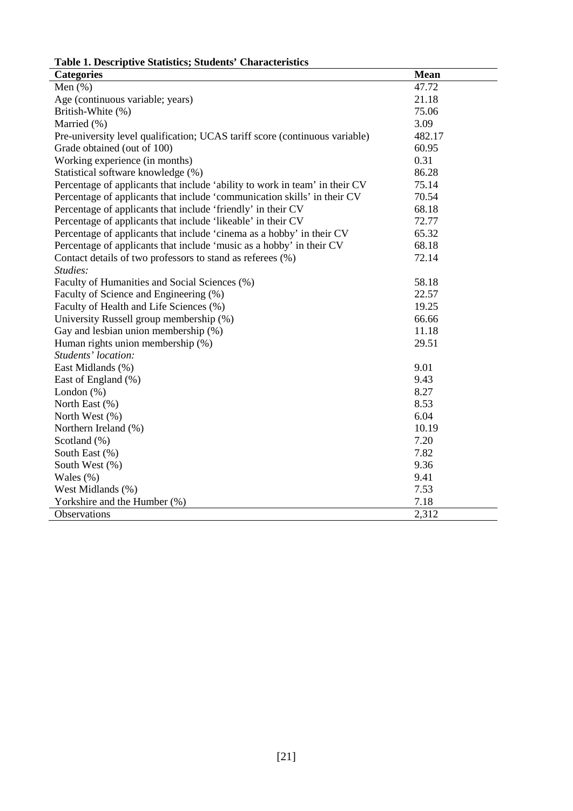**Table 1. Descriptive Statistics; Students' Characteristics**

| <b>Categories</b>                                                           | <b>Mean</b> |
|-----------------------------------------------------------------------------|-------------|
| Men $(\%)$                                                                  | 47.72       |
| Age (continuous variable; years)                                            | 21.18       |
| British-White (%)                                                           | 75.06       |
| Married (%)                                                                 | 3.09        |
| Pre-university level qualification; UCAS tariff score (continuous variable) | 482.17      |
| Grade obtained (out of 100)                                                 | 60.95       |
| Working experience (in months)                                              | 0.31        |
| Statistical software knowledge (%)                                          | 86.28       |
| Percentage of applicants that include 'ability to work in team' in their CV | 75.14       |
| Percentage of applicants that include 'communication skills' in their CV    | 70.54       |
| Percentage of applicants that include 'friendly' in their CV                | 68.18       |
| Percentage of applicants that include 'likeable' in their CV                | 72.77       |
| Percentage of applicants that include 'cinema as a hobby' in their CV       | 65.32       |
| Percentage of applicants that include 'music as a hobby' in their CV        | 68.18       |
| Contact details of two professors to stand as referees (%)                  | 72.14       |
| Studies:                                                                    |             |
| Faculty of Humanities and Social Sciences (%)                               | 58.18       |
| Faculty of Science and Engineering (%)                                      | 22.57       |
| Faculty of Health and Life Sciences (%)                                     | 19.25       |
| University Russell group membership (%)                                     | 66.66       |
| Gay and lesbian union membership (%)                                        | 11.18       |
| Human rights union membership (%)                                           | 29.51       |
| Students' location:                                                         |             |
| East Midlands (%)                                                           | 9.01        |
| East of England (%)                                                         | 9.43        |
| London $(\%)$                                                               | 8.27        |
| North East (%)                                                              | 8.53        |
| North West $(\%)$                                                           | 6.04        |
| Northern Ireland (%)                                                        | 10.19       |
| Scotland (%)                                                                | 7.20        |
| South East (%)                                                              | 7.82        |
| South West (%)                                                              | 9.36        |
| Wales $(\%)$                                                                | 9.41        |
| West Midlands (%)                                                           | 7.53        |
| Yorkshire and the Humber (%)                                                | 7.18        |
| Observations                                                                | 2,312       |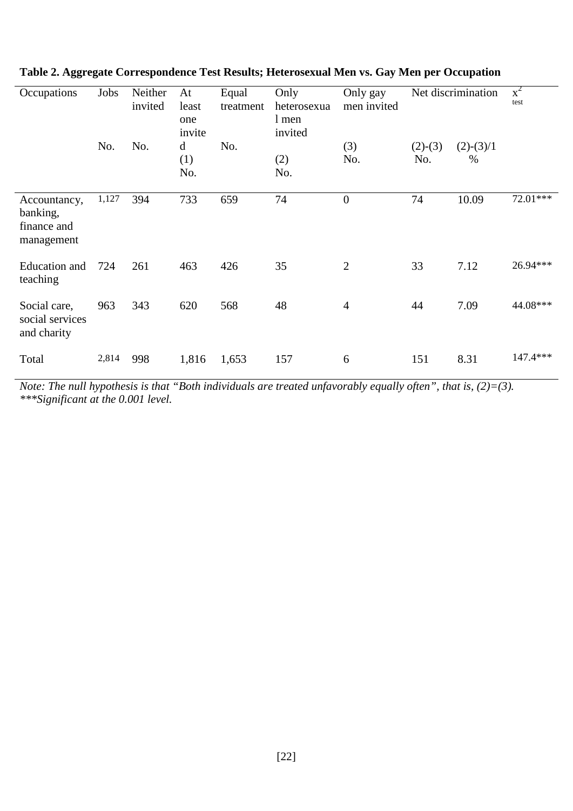| Occupations                                           | Jobs  | Neither<br>invited | At<br>least<br>one<br>invite | Equal<br>treatment | Only<br>heterosexua<br>1 men<br>invited | Only gay<br>men invited |                  | Net discrimination  | $\overline{x}^2$<br>test |
|-------------------------------------------------------|-------|--------------------|------------------------------|--------------------|-----------------------------------------|-------------------------|------------------|---------------------|--------------------------|
|                                                       | No.   | No.                | $\mathbf d$<br>(1)<br>No.    | No.                | (2)<br>No.                              | (3)<br>No.              | $(2)-(3)$<br>No. | $(2)-(3)/1$<br>$\%$ |                          |
| Accountancy,<br>banking,<br>finance and<br>management | 1,127 | 394                | 733                          | 659                | 74                                      | $\overline{0}$          | 74               | 10.09               | 72.01***                 |
| Education and<br>teaching                             | 724   | 261                | 463                          | 426                | 35                                      | $\overline{2}$          | 33               | 7.12                | 26.94***                 |
| Social care,<br>social services<br>and charity        | 963   | 343                | 620                          | 568                | 48                                      | $\overline{4}$          | 44               | 7.09                | 44.08***                 |
| Total                                                 | 2,814 | 998                | 1,816                        | 1,653              | 157                                     | 6                       | 151              | 8.31                | 147.4***                 |

**Table 2. Aggregate Correspondence Test Results; Heterosexual Men vs. Gay Men per Occupation** 

*Note: The null hypothesis is that "Both individuals are treated unfavorably equally often", that is, (2)=(3). \*\*\*Significant at the 0.001 level.*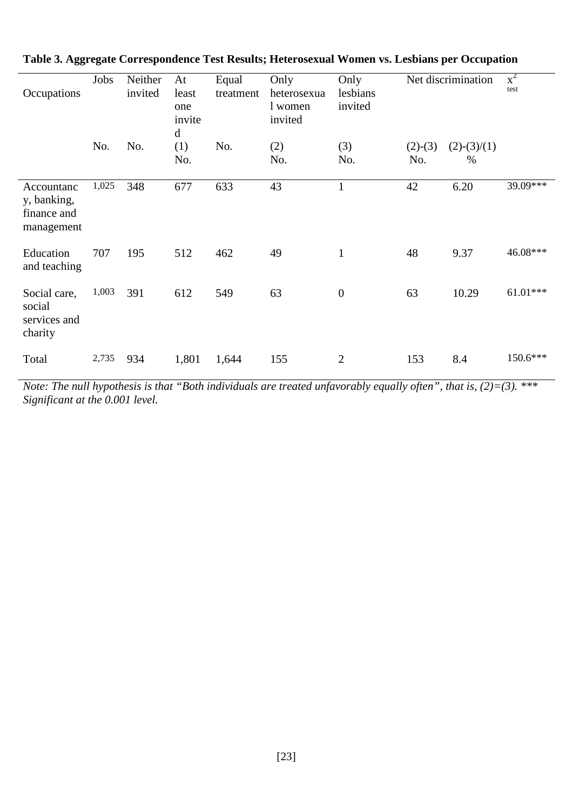| Occupations                                            | Jobs  | Neither<br>invited | At<br>least<br>one<br>invite<br>d | Equal<br>treatment | Only<br>heterosexua<br>1 women<br>invited | Only<br>lesbians<br>invited |                  | Net discrimination    | $x^2$<br>test |
|--------------------------------------------------------|-------|--------------------|-----------------------------------|--------------------|-------------------------------------------|-----------------------------|------------------|-----------------------|---------------|
|                                                        | No.   | No.                | (1)<br>No.                        | No.                | (2)<br>No.                                | (3)<br>No.                  | $(2)-(3)$<br>No. | $(2)-(3)/(1)$<br>$\%$ |               |
| Accountanc<br>y, banking,<br>finance and<br>management | 1,025 | 348                | 677                               | 633                | 43                                        |                             | 42               | 6.20                  | $39.09***$    |
| Education<br>and teaching                              | 707   | 195                | 512                               | 462                | 49                                        | $\mathbf{1}$                | 48               | 9.37                  | $46.08***$    |
| Social care,<br>social<br>services and<br>charity      | 1,003 | 391                | 612                               | 549                | 63                                        | $\boldsymbol{0}$            | 63               | 10.29                 | $61.01***$    |
| Total                                                  | 2,735 | 934                | 1,801                             | 1,644              | 155                                       | $\overline{2}$              | 153              | 8.4                   | 150.6***      |

**Table 3. Aggregate Correspondence Test Results; Heterosexual Women vs. Lesbians per Occupation** 

*Note: The null hypothesis is that "Both individuals are treated unfavorably equally often", that is, (2)=(3).* \*\*\* *Significant at the 0.001 level.*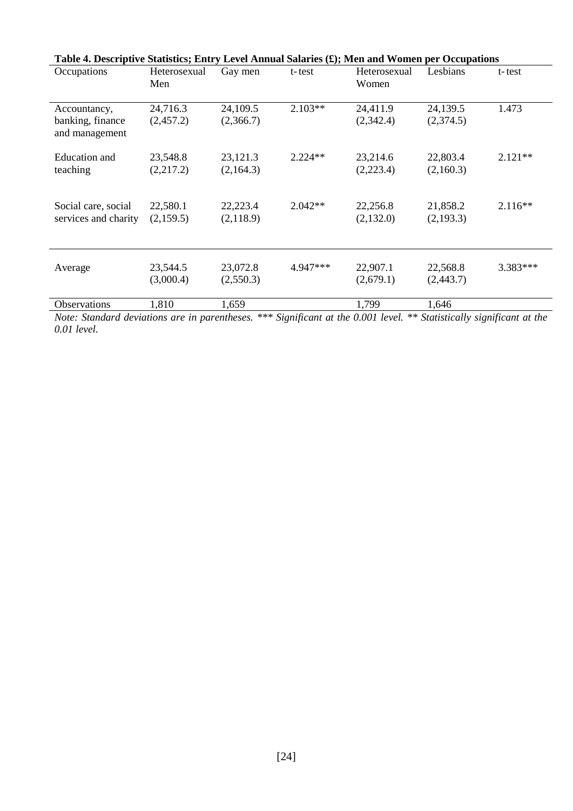| Table 4. Descriptive Statistics; Entry Level Annual Salaries (£); Men and Women per Occupations |                       |                       |           |                       |                       |           |
|-------------------------------------------------------------------------------------------------|-----------------------|-----------------------|-----------|-----------------------|-----------------------|-----------|
| Occupations                                                                                     | Heterosexual<br>Men   | Gay men               | t-test    | Heterosexual<br>Women | Lesbians              | t-test    |
| Accountancy,<br>banking, finance<br>and management                                              | 24,716.3<br>(2,457.2) | 24,109.5<br>(2,366.7) | $2.103**$ | 24,411.9<br>(2,342.4) | 24,139.5<br>(2,374.5) | 1.473     |
| <b>Education</b> and<br>teaching                                                                | 23,548.8<br>(2,217.2) | 23,121.3<br>(2,164.3) | $2.224**$ | 23,214.6<br>(2,223.4) | 22,803.4<br>(2,160.3) | $2.121**$ |
| Social care, social<br>services and charity                                                     | 22,580.1<br>(2,159.5) | 22,223.4<br>(2,118.9) | $2.042**$ | 22,256.8<br>(2,132.0) | 21,858.2<br>(2,193.3) | $2.116**$ |
| Average                                                                                         | 23,544.5<br>(3,000.4) | 23,072.8<br>(2,550.3) | 4.947***  | 22,907.1<br>(2,679.1) | 22,568.8<br>(2,443.7) | 3.383***  |
| Observations                                                                                    | 1,810                 | 1,659                 |           | 1,799                 | 1,646                 |           |

*Note: Standard deviations are in parentheses. \*\*\* Significant at the 0.001 level. \*\* Statistically significant at the 0.01 level.*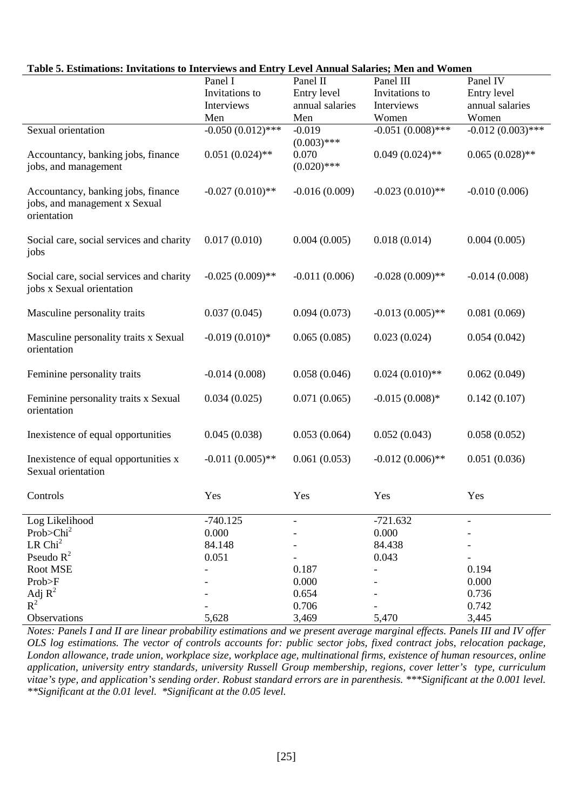|                                                                                    | Panel I             | Panel II                  | Panel III           | Panel IV            |
|------------------------------------------------------------------------------------|---------------------|---------------------------|---------------------|---------------------|
|                                                                                    | Invitations to      | Entry level               | Invitations to      | Entry level         |
|                                                                                    | Interviews          | annual salaries           | Interviews          | annual salaries     |
|                                                                                    | Men                 | Men                       | Women               | Women               |
| Sexual orientation                                                                 | $-0.050(0.012)$ *** | $-0.019$<br>$(0.003)$ *** | $-0.051(0.008)$ *** | $-0.012(0.003)$ *** |
| Accountancy, banking jobs, finance<br>jobs, and management                         | $0.051(0.024)$ **   | 0.070<br>$(0.020)$ ***    | $0.049(0.024)$ **   | $0.065(0.028)$ **   |
| Accountancy, banking jobs, finance<br>jobs, and management x Sexual<br>orientation | $-0.027(0.010)$ **  | $-0.016(0.009)$           | $-0.023(0.010)$ **  | $-0.010(0.006)$     |
| Social care, social services and charity<br>jobs                                   | 0.017(0.010)        | 0.004(0.005)              | 0.018(0.014)        | 0.004(0.005)        |
| Social care, social services and charity<br>jobs x Sexual orientation              | $-0.025(0.009)$ **  | $-0.011(0.006)$           | $-0.028(0.009)$ **  | $-0.014(0.008)$     |
| Masculine personality traits                                                       | 0.037(0.045)        | 0.094(0.073)              | $-0.013(0.005)$ **  | 0.081(0.069)        |
| Masculine personality traits x Sexual<br>orientation                               | $-0.019(0.010)*$    | 0.065(0.085)              | 0.023(0.024)        | 0.054(0.042)        |
| Feminine personality traits                                                        | $-0.014(0.008)$     | 0.058(0.046)              | $0.024(0.010)**$    | 0.062(0.049)        |
| Feminine personality traits x Sexual<br>orientation                                | 0.034(0.025)        | 0.071(0.065)              | $-0.015(0.008)*$    | 0.142(0.107)        |
| Inexistence of equal opportunities                                                 | 0.045(0.038)        | 0.053(0.064)              | 0.052(0.043)        | 0.058(0.052)        |
| Inexistence of equal opportunities x<br>Sexual orientation                         | $-0.011(0.005)$ **  | 0.061(0.053)              | $-0.012(0.006)$ **  | 0.051(0.036)        |
| Controls                                                                           | Yes                 | Yes                       | Yes                 | Yes                 |
| Log Likelihood                                                                     | $-740.125$          |                           | $-721.632$          |                     |
| Prob > Chi <sup>2</sup>                                                            | 0.000               |                           | 0.000               |                     |
| LR Chi <sup>2</sup>                                                                | 84.148              |                           | 84.438              |                     |
| Pseudo $R^2$                                                                       | 0.051               |                           | 0.043               |                     |
| Root MSE                                                                           |                     | 0.187                     |                     | 0.194               |
| Prob>F                                                                             |                     | 0.000                     |                     | 0.000               |
| Adj $R^2$                                                                          |                     | 0.654                     |                     | 0.736               |
| $R^2$                                                                              |                     | 0.706                     |                     | 0.742               |
| Observations                                                                       | 5,628               | 3,469                     | 5,470               | 3,445               |

*Notes: Panels I and II are linear probability estimations and we present average marginal effects. Panels III and IV offer OLS log estimations. The vector of controls accounts for: public sector jobs, fixed contract jobs, relocation package, London allowance, trade union, workplace size, workplace age, multinational firms, existence of human resources, online application, university entry standards, university Russell Group membership, regions, cover letter's type, curriculum vitae's type, and application's sending order. Robust standard errors are in parenthesis. \*\*\*Significant at the 0.001 level. \*\*Significant at the 0.01 level. \*Significant at the 0.05 level.*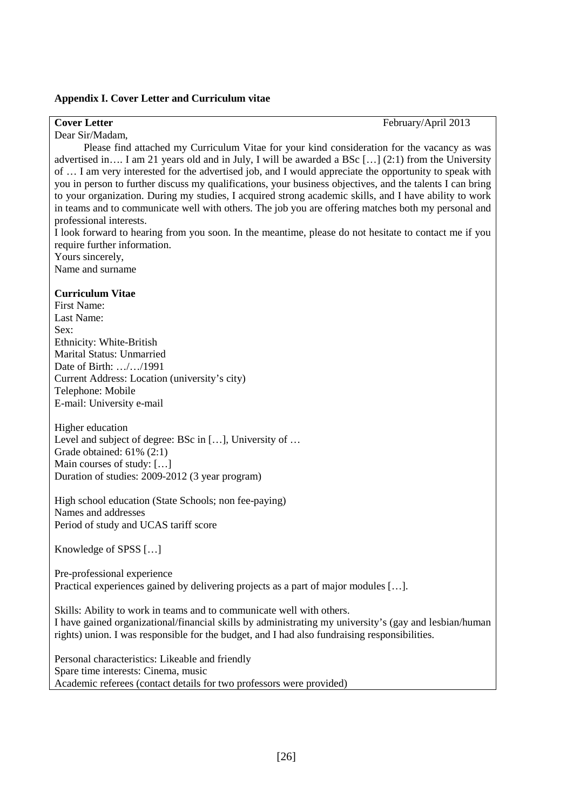#### **Appendix I. Cover Letter and Curriculum vitae**

#### **Cover Letter** February/April 2013

Dear Sir/Madam,

 Please find attached my Curriculum Vitae for your kind consideration for the vacancy as was advertised in…. I am 21 years old and in July, I will be awarded a BSc […] (2:1) from the University of … I am very interested for the advertised job, and I would appreciate the opportunity to speak with you in person to further discuss my qualifications, your business objectives, and the talents I can bring to your organization. During my studies, I acquired strong academic skills, and I have ability to work in teams and to communicate well with others. The job you are offering matches both my personal and professional interests.

I look forward to hearing from you soon. In the meantime, please do not hesitate to contact me if you require further information.

Yours sincerely, Name and surname

#### **Curriculum Vitae**

First Name: Last Name: Sex: Ethnicity: White-British Marital Status: Unmarried Date of Birth: …/…/1991 Current Address: Location (university's city) Telephone: Mobile E-mail: University e-mail

Higher education Level and subject of degree: BSc in [...], University of ... Grade obtained: 61% (2:1) Main courses of study: […] Duration of studies: 2009-2012 (3 year program)

High school education (State Schools; non fee-paying) Names and addresses Period of study and UCAS tariff score

Knowledge of SPSS […]

Pre-professional experience Practical experiences gained by delivering projects as a part of major modules […].

Skills: Ability to work in teams and to communicate well with others. I have gained organizational/financial skills by administrating my university's (gay and lesbian/human rights) union. I was responsible for the budget, and I had also fundraising responsibilities.

Personal characteristics: Likeable and friendly Spare time interests: Cinema, music Academic referees (contact details for two professors were provided)